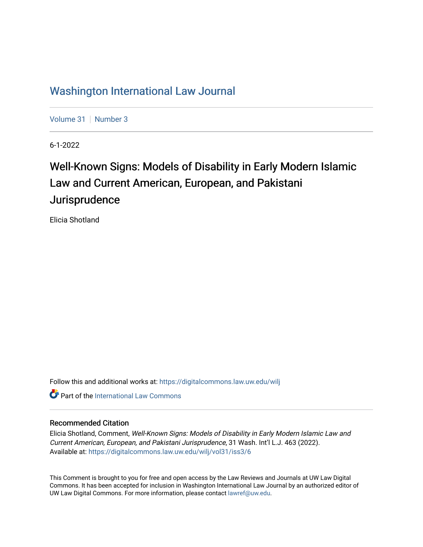## [Washington International Law Journal](https://digitalcommons.law.uw.edu/wilj)

[Volume 31](https://digitalcommons.law.uw.edu/wilj/vol31) | [Number 3](https://digitalcommons.law.uw.edu/wilj/vol31/iss3)

6-1-2022

# Well-Known Signs: Models of Disability in Early Modern Islamic Law and Current American, European, and Pakistani Jurisprudence

Elicia Shotland

Follow this and additional works at: [https://digitalcommons.law.uw.edu/wilj](https://digitalcommons.law.uw.edu/wilj?utm_source=digitalcommons.law.uw.edu%2Fwilj%2Fvol31%2Fiss3%2F6&utm_medium=PDF&utm_campaign=PDFCoverPages) 

**C** Part of the International Law Commons

#### Recommended Citation

Elicia Shotland, Comment, Well-Known Signs: Models of Disability in Early Modern Islamic Law and Current American, European, and Pakistani Jurisprudence, 31 Wash. Int'l L.J. 463 (2022). Available at: [https://digitalcommons.law.uw.edu/wilj/vol31/iss3/6](https://digitalcommons.law.uw.edu/wilj/vol31/iss3/6?utm_source=digitalcommons.law.uw.edu%2Fwilj%2Fvol31%2Fiss3%2F6&utm_medium=PDF&utm_campaign=PDFCoverPages) 

This Comment is brought to you for free and open access by the Law Reviews and Journals at UW Law Digital Commons. It has been accepted for inclusion in Washington International Law Journal by an authorized editor of UW Law Digital Commons. For more information, please contact [lawref@uw.edu](mailto:lawref@uw.edu).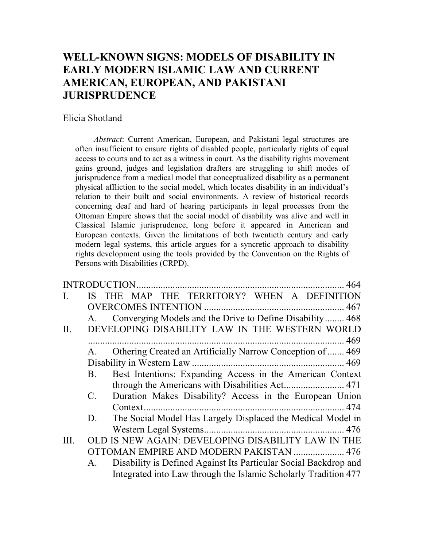## **WELL-KNOWN SIGNS: MODELS OF DISABILITY IN EARLY MODERN ISLAMIC LAW AND CURRENT AMERICAN, EUROPEAN, AND PAKISTANI JURISPRUDENCE**

#### Elicia Shotland

*Abstract*: Current American, European, and Pakistani legal structures are often insufficient to ensure rights of disabled people, particularly rights of equal access to courts and to act as a witness in court. As the disability rights movement gains ground, judges and legislation drafters are struggling to shift modes of jurisprudence from a medical model that conceptualized disability as a permanent physical affliction to the social model, which locates disability in an individual's relation to their built and social environments. A review of historical records concerning deaf and hard of hearing participants in legal processes from the Ottoman Empire shows that the social model of disability was alive and well in Classical Islamic jurisprudence, long before it appeared in American and European contexts. Given the limitations of both twentieth century and early modern legal systems, this article argues for a syncretic approach to disability rights development using the tools provided by the Convention on the Rights of Persons with Disabilities (CRPD).

| $\mathbf{I}$ . |             | THE MAP THE TERRITORY? WHEN A DEFINITION                         |
|----------------|-------------|------------------------------------------------------------------|
|                |             |                                                                  |
|                | А.          | Converging Models and the Drive to Define Disability 468         |
| II.            |             | DEVELOPING DISABILITY LAW IN THE WESTERN WORLD                   |
|                |             |                                                                  |
|                | А.          | Othering Created an Artificially Narrow Conception of  469       |
|                |             |                                                                  |
|                | <b>B.</b>   | Best Intentions: Expanding Access in the American Context        |
|                |             |                                                                  |
|                | $C_{\cdot}$ | Duration Makes Disability? Access in the European Union          |
|                |             |                                                                  |
|                | D.          | The Social Model Has Largely Displaced the Medical Model in      |
|                |             |                                                                  |
| III.           |             | OLD IS NEW AGAIN: DEVELOPING DISABILITY LAW IN THE               |
|                |             | OTTOMAN EMPIRE AND MODERN PAKISTAN  476                          |
|                | А.          | Disability is Defined Against Its Particular Social Backdrop and |
|                |             | Integrated into Law through the Islamic Scholarly Tradition 477  |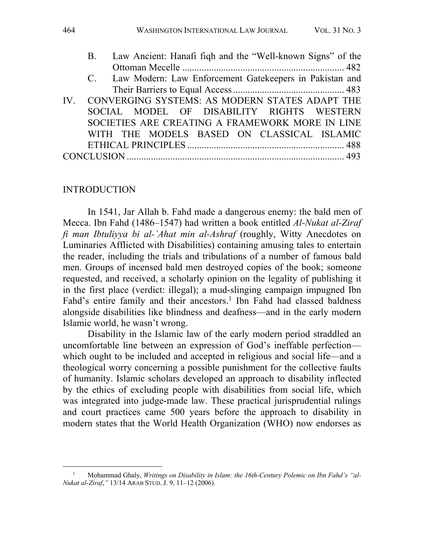| C. Law Modern: Law Enforcement Gatekeepers in Pakistan and |
|------------------------------------------------------------|
|                                                            |
| IV. CONVERGING SYSTEMS: AS MODERN STATES ADAPT THE         |
| SOCIAL MODEL OF DISABILITY RIGHTS WESTERN                  |
| SOCIETIES ARE CREATING A FRAMEWORK MORE IN LINE            |
| WITH THE MODELS BASED ON CLASSICAL ISLAMIC                 |
|                                                            |
|                                                            |

#### INTRODUCTION

In 1541, Jar Allah b. Fahd made a dangerous enemy: the bald men of Mecca. Ibn Fahd (1486–1547) had written a book entitled *Al-Nukat al-Ziraf fi man Ibtuliyya bi al-`Ahat min al-Ashraf* (roughly, Witty Anecdotes on Luminaries Afflicted with Disabilities) containing amusing tales to entertain the reader, including the trials and tribulations of a number of famous bald men. Groups of incensed bald men destroyed copies of the book; someone requested, and received, a scholarly opinion on the legality of publishing it in the first place (verdict: illegal); a mud-slinging campaign impugned Ibn Fahd's entire family and their ancestors.<sup>1</sup> Ibn Fahd had classed baldness alongside disabilities like blindness and deafness—and in the early modern Islamic world, he wasn't wrong.

Disability in the Islamic law of the early modern period straddled an uncomfortable line between an expression of God's ineffable perfection which ought to be included and accepted in religious and social life—and a theological worry concerning a possible punishment for the collective faults of humanity. Islamic scholars developed an approach to disability inflected by the ethics of excluding people with disabilities from social life, which was integrated into judge-made law. These practical jurisprudential rulings and court practices came 500 years before the approach to disability in modern states that the World Health Organization (WHO) now endorses as

Mohammad Ghaly, Writings on Disability in Islam: the 16th-Century Polemic on Ibn Fahd's "al-*Nukat al-Ziraf*,*"* 13/14 ARAB STUD. J. 9, 11–12 (2006).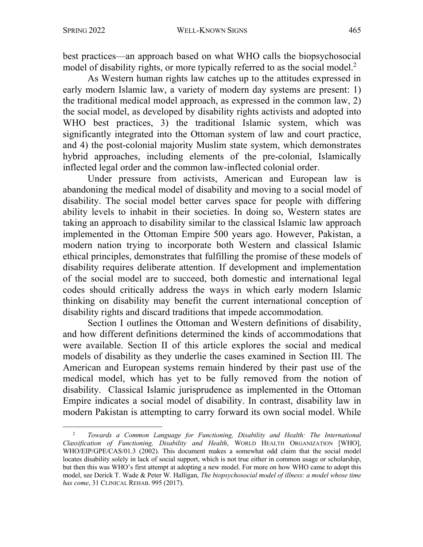best practices—an approach based on what WHO calls the biopsychosocial model of disability rights, or more typically referred to as the social model.<sup>2</sup>

As Western human rights law catches up to the attitudes expressed in early modern Islamic law, a variety of modern day systems are present: 1) the traditional medical model approach, as expressed in the common law, 2) the social model, as developed by disability rights activists and adopted into WHO best practices, 3) the traditional Islamic system, which was significantly integrated into the Ottoman system of law and court practice, and 4) the post-colonial majority Muslim state system, which demonstrates hybrid approaches, including elements of the pre-colonial, Islamically inflected legal order and the common law-inflected colonial order.

Under pressure from activists, American and European law is abandoning the medical model of disability and moving to a social model of disability. The social model better carves space for people with differing ability levels to inhabit in their societies. In doing so, Western states are taking an approach to disability similar to the classical Islamic law approach implemented in the Ottoman Empire 500 years ago. However, Pakistan, a modern nation trying to incorporate both Western and classical Islamic ethical principles, demonstrates that fulfilling the promise of these models of disability requires deliberate attention. If development and implementation of the social model are to succeed, both domestic and international legal codes should critically address the ways in which early modern Islamic thinking on disability may benefit the current international conception of disability rights and discard traditions that impede accommodation.

Section I outlines the Ottoman and Western definitions of disability, and how different definitions determined the kinds of accommodations that were available. Section II of this article explores the social and medical models of disability as they underlie the cases examined in Section III. The American and European systems remain hindered by their past use of the medical model, which has yet to be fully removed from the notion of disability. Classical Islamic jurisprudence as implemented in the Ottoman Empire indicates a social model of disability. In contrast, disability law in modern Pakistan is attempting to carry forward its own social model. While

<sup>2</sup> *Towards a Common Language for Functioning, Disability and Health: The International Classification of Functioning, Disability and Health*, WORLD HEALTH ORGANIZATION [WHO], WHO/EIP/GPE/CAS/01.3 (2002). This document makes a somewhat odd claim that the social model locates disability solely in lack of social support, which is not true either in common usage or scholarship, but then this was WHO's first attempt at adopting a new model. For more on how WHO came to adopt this model, see Derick T. Wade & Peter W. Halligan, *The biopsychosocial model of illness: a model whose time has come*, 31 CLINICAL REHAB. 995 (2017).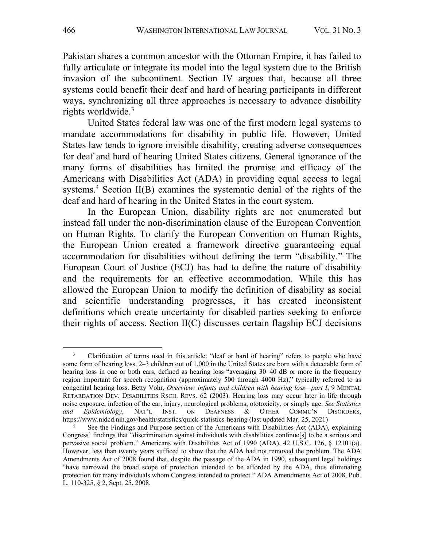Pakistan shares a common ancestor with the Ottoman Empire, it has failed to fully articulate or integrate its model into the legal system due to the British invasion of the subcontinent. Section IV argues that, because all three systems could benefit their deaf and hard of hearing participants in different ways, synchronizing all three approaches is necessary to advance disability rights worldwide.3

United States federal law was one of the first modern legal systems to mandate accommodations for disability in public life. However, United States law tends to ignore invisible disability, creating adverse consequences for deaf and hard of hearing United States citizens. General ignorance of the many forms of disabilities has limited the promise and efficacy of the Americans with Disabilities Act (ADA) in providing equal access to legal systems.<sup>4</sup> Section II(B) examines the systematic denial of the rights of the deaf and hard of hearing in the United States in the court system.

In the European Union, disability rights are not enumerated but instead fall under the non-discrimination clause of the European Convention on Human Rights. To clarify the European Convention on Human Rights, the European Union created a framework directive guaranteeing equal accommodation for disabilities without defining the term "disability." The European Court of Justice (ECJ) has had to define the nature of disability and the requirements for an effective accommodation. While this has allowed the European Union to modify the definition of disability as social and scientific understanding progresses, it has created inconsistent definitions which create uncertainty for disabled parties seeking to enforce their rights of access. Section II(C) discusses certain flagship ECJ decisions

<sup>&</sup>lt;sup>3</sup> Clarification of terms used in this article: "deaf or hard of hearing" refers to people who have some form of hearing loss. 2–3 children out of 1,000 in the United States are born with a detectable form of hearing loss in one or both ears, defined as hearing loss "averaging 30–40 dB or more in the frequency region important for speech recognition (approximately 500 through 4000 Hz)," typically referred to as congenital hearing loss. Betty Vohr, *Overview: infants and children with hearing loss—part I*, 9 MENTAL RETARDATION DEV. DISABILITIES RSCH. REVS. 62 (2003). Hearing loss may occur later in life through noise exposure, infection of the ear, injury, neurological problems, ototoxicity, or simply age. *See Statistics and Epidemiology*, NAT'L INST. ON DEAFNESS & OTHER COMMC'N DISORDERS, https://www.nidcd.nih.gov/health/statistics/quick-statistics-hearing (last updated Mar. 25, 2021)

See the Findings and Purpose section of the Americans with Disabilities Act (ADA), explaining Congress' findings that "discrimination against individuals with disabilities continue[s] to be a serious and pervasive social problem." Americans with Disabilities Act of 1990 (ADA), 42 U.S.C. 126, § 12101(a). However, less than twenty years sufficed to show that the ADA had not removed the problem. The ADA Amendments Act of 2008 found that, despite the passage of the ADA in 1990, subsequent legal holdings "have narrowed the broad scope of protection intended to be afforded by the ADA, thus eliminating protection for many individuals whom Congress intended to protect." ADA Amendments Act of 2008, Pub. L. 110-325, § 2, Sept. 25, 2008.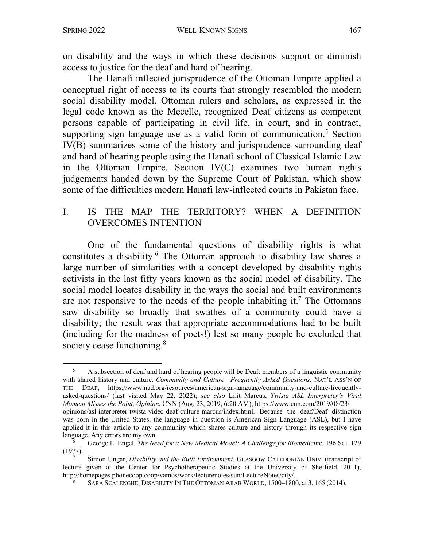on disability and the ways in which these decisions support or diminish access to justice for the deaf and hard of hearing.

The Hanafi-inflected jurisprudence of the Ottoman Empire applied a conceptual right of access to its courts that strongly resembled the modern social disability model. Ottoman rulers and scholars, as expressed in the legal code known as the Mecelle, recognized Deaf citizens as competent persons capable of participating in civil life, in court, and in contract, supporting sign language use as a valid form of communication.<sup>5</sup> Section IV(B) summarizes some of the history and jurisprudence surrounding deaf and hard of hearing people using the Hanafi school of Classical Islamic Law in the Ottoman Empire. Section IV(C) examines two human rights judgements handed down by the Supreme Court of Pakistan, which show some of the difficulties modern Hanafi law-inflected courts in Pakistan face.

#### I. IS THE MAP THE TERRITORY? WHEN A DEFINITION OVERCOMES INTENTION

One of the fundamental questions of disability rights is what constitutes a disability.<sup>6</sup> The Ottoman approach to disability law shares a large number of similarities with a concept developed by disability rights activists in the last fifty years known as the social model of disability. The social model locates disability in the ways the social and built environments are not responsive to the needs of the people inhabiting it.<sup>7</sup> The Ottomans saw disability so broadly that swathes of a community could have a disability; the result was that appropriate accommodations had to be built (including for the madness of poets!) lest so many people be excluded that society cease functioning.<sup>8</sup>

<sup>&</sup>lt;sup>5</sup> A subsection of deaf and hard of hearing people will be Deaf: members of a linguistic community with shared history and culture. *Community and Culture—Frequently Asked Questions*, NAT'L ASS'N OF THE DEAF, https://www.nad.org/resources/american-sign-language/community-and-culture-frequentlyasked-questions/ (last visited May 22, 2022); *see also* Lilit Marcus, *Twista ASL Interpreter's Viral Moment Misses the Point, Opinion*, CNN (Aug. 23, 2019, 6:20 AM), https://www.cnn.com/2019/08/23/ opinions/asl-interpreter-twista-video-deaf-culture-marcus/index.html. Because the deaf/Deaf distinction was born in the United States, the language in question is American Sign Language (ASL), but I have applied it in this article to any community which shares culture and history through its respective sign language. Any errors are my own.

<sup>6</sup> George L. Engel, *The Need for a New Medical Model: A Challenge for Biomedicin*e, 196 SCI. 129 (1977).

<sup>7</sup> Simon Ungar, *Disability and the Built Environment*, GLASGOW CALEDONIAN UNIV. (transcript of lecture given at the Center for Psychotherapeutic Studies at the University of Sheffield, 2011), http://homepages.phonecoop.coop/vamos/work/lecturenotes/sun/LectureNotes/city/.

<sup>8</sup> SARA SCALENGHE, DISABILITY IN THE OTTOMAN ARAB WORLD, 1500–1800, at 3, 165 (2014).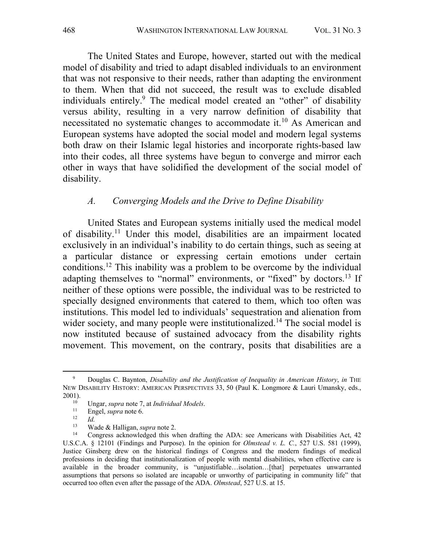The United States and Europe, however, started out with the medical model of disability and tried to adapt disabled individuals to an environment that was not responsive to their needs, rather than adapting the environment to them. When that did not succeed, the result was to exclude disabled individuals entirely.<sup>9</sup> The medical model created an "other" of disability versus ability, resulting in a very narrow definition of disability that necessitated no systematic changes to accommodate it.10 As American and European systems have adopted the social model and modern legal systems both draw on their Islamic legal histories and incorporate rights-based law into their codes, all three systems have begun to converge and mirror each other in ways that have solidified the development of the social model of disability.

#### *A. Converging Models and the Drive to Define Disability*

United States and European systems initially used the medical model of disability.<sup>11</sup> Under this model, disabilities are an impairment located exclusively in an individual's inability to do certain things, such as seeing at a particular distance or expressing certain emotions under certain conditions. <sup>12</sup> This inability was a problem to be overcome by the individual adapting themselves to "normal" environments, or "fixed" by doctors.<sup>13</sup> If neither of these options were possible, the individual was to be restricted to specially designed environments that catered to them, which too often was institutions. This model led to individuals' sequestration and alienation from wider society, and many people were institutionalized.<sup>14</sup> The social model is now instituted because of sustained advocacy from the disability rights movement. This movement, on the contrary, posits that disabilities are a

 $\frac{12}{13}$  *Id.* 

<sup>9</sup> Douglas C. Baynton, *Disability and the Justification of Inequality in American History*, *in* THE NEW DISABILITY HISTORY: AMERICAN PERSPECTIVES 33, 50 (Paul K. Longmore & Lauri Umansky, eds.,  $2001$ ).

<sup>10</sup> Ungar, *supra* note 7, at *Individual Models*.

 $\frac{11}{12}$  Engel, *supra* note 6.

<sup>13</sup> Wade & Halligan, *supra* note 2.

<sup>14</sup> Congress acknowledged this when drafting the ADA: see Americans with Disabilities Act, 42 U.S.C.A. § 12101 (Findings and Purpose). In the opinion for *Olmstead v. L. C.*, 527 U.S. 581 (1999), Justice Ginsberg drew on the historical findings of Congress and the modern findings of medical professions in deciding that institutionalization of people with mental disabilities, when effective care is available in the broader community, is "unjustifiable…isolation…[that] perpetuates unwarranted assumptions that persons so isolated are incapable or unworthy of participating in community life" that occurred too often even after the passage of the ADA. *Olmstead*, 527 U.S. at 15.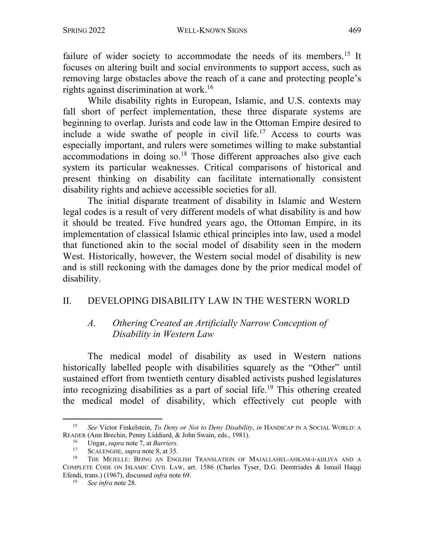failure of wider society to accommodate the needs of its members.<sup>15</sup> It focuses on altering built and social environments to support access, such as removing large obstacles above the reach of a cane and protecting people's rights against discrimination at work.<sup>16</sup>

While disability rights in European, Islamic, and U.S. contexts may fall short of perfect implementation, these three disparate systems are beginning to overlap. Jurists and code law in the Ottoman Empire desired to include a wide swathe of people in civil life.<sup>17</sup> Access to courts was especially important, and rulers were sometimes willing to make substantial accommodations in doing so.<sup>18</sup> Those different approaches also give each system its particular weaknesses. Critical comparisons of historical and present thinking on disability can facilitate internationally consistent disability rights and achieve accessible societies for all.

The initial disparate treatment of disability in Islamic and Western legal codes is a result of very different models of what disability is and how it should be treated. Five hundred years ago, the Ottoman Empire, in its implementation of classical Islamic ethical principles into law, used a model that functioned akin to the social model of disability seen in the modern West. Historically, however, the Western social model of disability is new and is still reckoning with the damages done by the prior medical model of disability.

#### II. DEVELOPING DISABILITY LAW IN THE WESTERN WORLD

#### *A. Othering Created an Artificially Narrow Conception of Disability in Western Law*

The medical model of disability as used in Western nations historically labelled people with disabilities squarely as the "Other" until sustained effort from twentieth century disabled activists pushed legislatures into recognizing disabilities as a part of social life.19 This othering created the medical model of disability, which effectively cut people with

<sup>15</sup> *See* Victor Finkelstein, *To Deny or Not to Deny Disability*, *in* HANDICAP IN A SOCIAL WORLD: A READER (Ann Brechin, Penny Liddiard, & John Swain, eds., 1981).

<sup>16</sup> Ungar, *supra* note 7, at *Barriers*.

<sup>&</sup>lt;sup>17</sup> SCALENGHE, *supra* note 8, at 35.

THE MEJELLE: BEING AN ENGLISH TRANSLATION OF MAJALLAHEL-AHKAM-I-ADLIYA AND A COMPLETE CODE ON ISLAMIC CIVIL LAW, art. 1586 (Charles Tyser, D.G. Demtriades & Ismail Haqqi Efendi, trans.) (1967), discussed *infra* note 69.

<sup>19</sup> *See infra* note 28.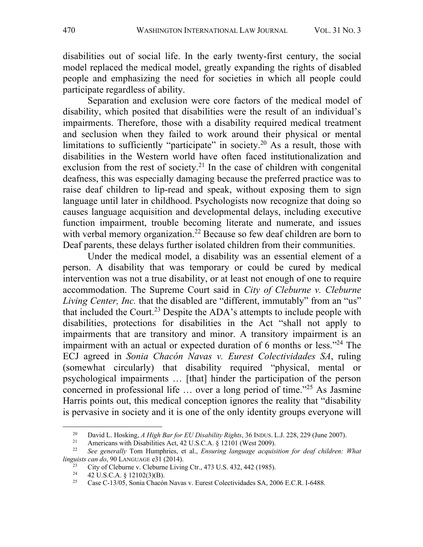disabilities out of social life. In the early twenty-first century, the social model replaced the medical model, greatly expanding the rights of disabled people and emphasizing the need for societies in which all people could participate regardless of ability.

Separation and exclusion were core factors of the medical model of disability, which posited that disabilities were the result of an individual's impairments. Therefore, those with a disability required medical treatment and seclusion when they failed to work around their physical or mental limitations to sufficiently "participate" in society.<sup>20</sup> As a result, those with disabilities in the Western world have often faced institutionalization and exclusion from the rest of society.<sup>21</sup> In the case of children with congenital deafness, this was especially damaging because the preferred practice was to raise deaf children to lip-read and speak, without exposing them to sign language until later in childhood. Psychologists now recognize that doing so causes language acquisition and developmental delays, including executive function impairment, trouble becoming literate and numerate, and issues with verbal memory organization.<sup>22</sup> Because so few deaf children are born to Deaf parents, these delays further isolated children from their communities.

Under the medical model, a disability was an essential element of a person. A disability that was temporary or could be cured by medical intervention was not a true disability, or at least not enough of one to require accommodation. The Supreme Court said in *City of Cleburne v. Cleburne Living Center, Inc.* that the disabled are "different, immutably" from an "us" that included the Court.<sup>23</sup> Despite the ADA's attempts to include people with disabilities, protections for disabilities in the Act "shall not apply to impairments that are transitory and minor. A transitory impairment is an impairment with an actual or expected duration of 6 months or less."<sup>24</sup> The ECJ agreed in *Sonia Chacón Navas v. Eurest Colectividades SA*, ruling (somewhat circularly) that disability required "physical, mental or psychological impairments … [that] hinder the participation of the person concerned in professional life … over a long period of time."25 As Jasmine Harris points out, this medical conception ignores the reality that "disability is pervasive in society and it is one of the only identity groups everyone will

<sup>&</sup>lt;sup>20</sup> David L. Hosking, *A High Bar for EU Disability Rights*, 36 INDUS. L.J. 228, 229 (June 2007).<br><sup>21</sup> Americans with Disabilities Act 42 U.S.C. A. 8 12101 (West 2009).

Americans with Disabilities Act, 42 U.S.C.A. § 12101 (West 2009).

<sup>22</sup> *See generally* Tom Humphries, et al., *Ensuring language acquisition for deaf children: What linguists can do*, 90 LANGUAGE e31 (2014).

<sup>&</sup>lt;sup>23</sup> City of Cleburne v. Cleburne Living Ctr., 473 U.S. 432, 442 (1985).<br>
<sup>24</sup>  $\frac{42 \text{ H.S C A}}{42 \text{ H.S C A}}$  \$12102(3)(B)

<sup>&</sup>lt;sup>24</sup> 42 U.S.C.A. § 12102(3)(B).<br><sup>25</sup> Case C 13/05 Sonia Chapér

<sup>25</sup> Case C-13/05, Sonia Chacón Navas v. Eurest Colectividades SA, 2006 E.C.R. I-6488.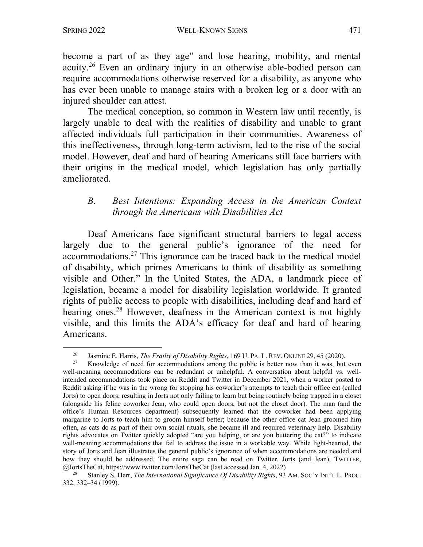become a part of as they age" and lose hearing, mobility, and mental acuity.26 Even an ordinary injury in an otherwise able-bodied person can require accommodations otherwise reserved for a disability, as anyone who has ever been unable to manage stairs with a broken leg or a door with an injured shoulder can attest.

The medical conception, so common in Western law until recently, is largely unable to deal with the realities of disability and unable to grant affected individuals full participation in their communities. Awareness of this ineffectiveness, through long-term activism, led to the rise of the social model. However, deaf and hard of hearing Americans still face barriers with their origins in the medical model, which legislation has only partially ameliorated.

#### *B. Best Intentions: Expanding Access in the American Context through the Americans with Disabilities Act*

Deaf Americans face significant structural barriers to legal access largely due to the general public's ignorance of the need for accommodations.27 This ignorance can be traced back to the medical model of disability, which primes Americans to think of disability as something visible and Other." In the United States, the ADA, a landmark piece of legislation, became a model for disability legislation worldwide. It granted rights of public access to people with disabilities, including deaf and hard of hearing ones.<sup>28</sup> However, deafness in the American context is not highly visible, and this limits the ADA's efficacy for deaf and hard of hearing Americans.

<sup>&</sup>lt;sup>26</sup> Jasmine E. Harris, *The Frailty of Disability Rights*, 169 U. PA. L. REV. ONLINE 29, 45 (2020).<br><sup>27</sup> Knowledge of need for accommodations among the public is better now than it was but

Knowledge of need for accommodations among the public is better now than it was, but even well-meaning accommodations can be redundant or unhelpful. A conversation about helpful vs. wellintended accommodations took place on Reddit and Twitter in December 2021, when a worker posted to Reddit asking if he was in the wrong for stopping his coworker's attempts to teach their office cat (called Jorts) to open doors, resulting in Jorts not only failing to learn but being routinely being trapped in a closet (alongside his feline coworker Jean, who could open doors, but not the closet door). The man (and the office's Human Resources department) subsequently learned that the coworker had been applying margarine to Jorts to teach him to groom himself better; because the other office cat Jean groomed him often, as cats do as part of their own social rituals, she became ill and required veterinary help. Disability rights advocates on Twitter quickly adopted "are you helping, or are you buttering the cat?" to indicate well-meaning accommodations that fail to address the issue in a workable way. While light-hearted, the story of Jorts and Jean illustrates the general public's ignorance of when accommodations are needed and how they should be addressed. The entire saga can be read on Twitter. Jorts (and Jean), TWITTER, @JortsTheCat, https://www.twitter.com/JortsTheCat (last accessed Jan. 4, 2022)

<sup>28</sup> Stanley S. Herr, *The International Significance Of Disability Rights*, 93 AM. SOC'Y INT'L L. PROC. 332, 332–34 (1999).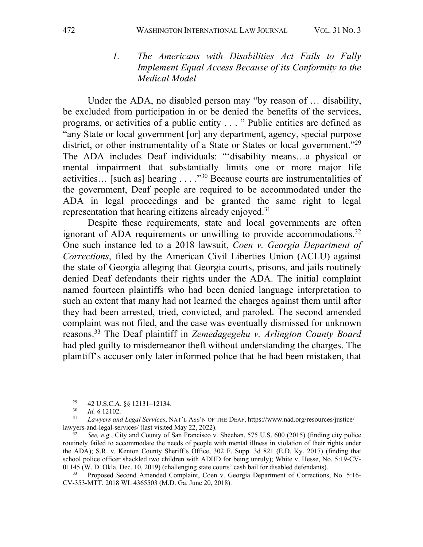#### *1. The Americans with Disabilities Act Fails to Fully Implement Equal Access Because of its Conformity to the Medical Model*

Under the ADA, no disabled person may "by reason of … disability, be excluded from participation in or be denied the benefits of the services, programs, or activities of a public entity . . . " Public entities are defined as "any State or local government [or] any department, agency, special purpose district, or other instrumentality of a State or States or local government."<sup>29</sup> The ADA includes Deaf individuals: "'disability means…a physical or mental impairment that substantially limits one or more major life activities... [such as] hearing ...  $.^{330}$  Because courts are instrumentalities of the government, Deaf people are required to be accommodated under the ADA in legal proceedings and be granted the same right to legal representation that hearing citizens already enjoyed.<sup>31</sup>

Despite these requirements, state and local governments are often ignorant of ADA requirements or unwilling to provide accommodations.<sup>32</sup> One such instance led to a 2018 lawsuit, *Coen v. Georgia Department of Corrections*, filed by the American Civil Liberties Union (ACLU) against the state of Georgia alleging that Georgia courts, prisons, and jails routinely denied Deaf defendants their rights under the ADA. The initial complaint named fourteen plaintiffs who had been denied language interpretation to such an extent that many had not learned the charges against them until after they had been arrested, tried, convicted, and paroled. The second amended complaint was not filed, and the case was eventually dismissed for unknown reasons.33 The Deaf plaintiff in *Zemedagegehu v. Arlington County Board* had pled guilty to misdemeanor theft without understanding the charges. The plaintiff's accuser only later informed police that he had been mistaken, that

<sup>&</sup>lt;sup>29</sup> 42 U.S.C.A. §§ 12131-12134.<br><sup>30</sup> *Id* 8 12102

 $\frac{30}{31}$  *Id.* § 12102.

<sup>31</sup> *Lawyers and Legal Services*, NAT'L ASS'N OF THE DEAF, https://www.nad.org/resources/justice/ lawyers-and-legal-services/ (last visited May 22, 2022).

See, e.g., City and County of San Francisco v. Sheehan, 575 U.S. 600 (2015) (finding city police routinely failed to accommodate the needs of people with mental illness in violation of their rights under the ADA); S.R. v. Kenton County Sheriff's Office, 302 F. Supp. 3d 821 (E.D. Ky. 2017) (finding that school police officer shackled two children with ADHD for being unruly); White v. Hesse, No. 5:19-CV-01145 (W. D. Okla. Dec. 10, 2019) (challenging state courts' cash bail for disabled defendants).

<sup>33</sup> Proposed Second Amended Complaint, Coen v. Georgia Department of Corrections, No. 5:16- CV-353-MTT, 2018 WL 4365503 (M.D. Ga. June 20, 2018).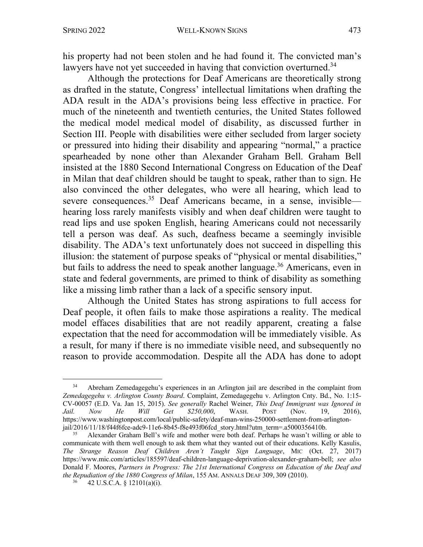his property had not been stolen and he had found it. The convicted man's lawyers have not yet succeeded in having that conviction overturned.<sup>34</sup>

Although the protections for Deaf Americans are theoretically strong as drafted in the statute, Congress' intellectual limitations when drafting the ADA result in the ADA's provisions being less effective in practice. For much of the nineteenth and twentieth centuries, the United States followed the medical model medical model of disability, as discussed further in Section III. People with disabilities were either secluded from larger society or pressured into hiding their disability and appearing "normal," a practice spearheaded by none other than Alexander Graham Bell. Graham Bell insisted at the 1880 Second International Congress on Education of the Deaf in Milan that deaf children should be taught to speak, rather than to sign. He also convinced the other delegates, who were all hearing, which lead to severe consequences.<sup>35</sup> Deaf Americans became, in a sense, invisible hearing loss rarely manifests visibly and when deaf children were taught to read lips and use spoken English, hearing Americans could not necessarily tell a person was deaf. As such, deafness became a seemingly invisible disability. The ADA's text unfortunately does not succeed in dispelling this illusion: the statement of purpose speaks of "physical or mental disabilities," but fails to address the need to speak another language.<sup>36</sup> Americans, even in state and federal governments, are primed to think of disability as something like a missing limb rather than a lack of a specific sensory input.

Although the United States has strong aspirations to full access for Deaf people, it often fails to make those aspirations a reality. The medical model effaces disabilities that are not readily apparent, creating a false expectation that the need for accommodation will be immediately visible. As a result, for many if there is no immediate visible need, and subsequently no reason to provide accommodation. Despite all the ADA has done to adopt

<sup>&</sup>lt;sup>34</sup> Abreham Zemedagegehu's experiences in an Arlington jail are described in the complaint from *Zemedagegehu v. Arlington County Board*. Complaint, Zemedagegehu v. Arlington Cnty. Bd., No. 1:15- CV-00057 (E.D. Va. Jan 15, 2015). *See generally* Rachel Weiner, *This Deaf Immigrant was Ignored in Jail. Now He Will Get \$250,000*, WASH. POST (Nov. 19, 2016), https://www.washingtonpost.com/local/public-safety/deaf-man-wins-250000-settlement-from-arlingtonjail/2016/11/18/f44f6fce-adc9-11e6-8b45-f8e493f06fcd\_story.html?utm\_term=.a5000356410b.<br><sup>35</sup> Alexander Graham Bell's wife and mother were both deaf. Perhaps he wasn't willing or able to

communicate with them well enough to ask them what they wanted out of their educations. Kelly Kasulis, *The Strange Reason Deaf Children Aren't Taught Sign Language*, MIC (Oct. 27, 2017) https://www.mic.com/articles/185597/deaf-children-language-deprivation-alexander-graham-bell; *see also* Donald F. Moores, *Partners in Progress: The 21st International Congress on Education of the Deaf and the Repudiation of the 1880 Congress of Milan*, 155 AM. ANNALS DEAF 309, 309 (2010).

<sup>42</sup> U.S.C.A. § 12101(a)(i).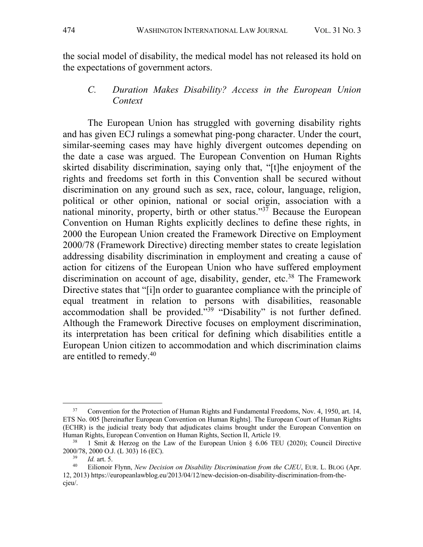the social model of disability, the medical model has not released its hold on the expectations of government actors.

#### *C. Duration Makes Disability? Access in the European Union Context*

The European Union has struggled with governing disability rights and has given ECJ rulings a somewhat ping-pong character. Under the court, similar-seeming cases may have highly divergent outcomes depending on the date a case was argued. The European Convention on Human Rights skirted disability discrimination, saying only that, "[t]he enjoyment of the rights and freedoms set forth in this Convention shall be secured without discrimination on any ground such as sex, race, colour, language, religion, political or other opinion, national or social origin, association with a national minority, property, birth or other status." $3<sup>7</sup>$  Because the European Convention on Human Rights explicitly declines to define these rights, in 2000 the European Union created the Framework Directive on Employment 2000/78 (Framework Directive) directing member states to create legislation addressing disability discrimination in employment and creating a cause of action for citizens of the European Union who have suffered employment discrimination on account of age, disability, gender, etc.<sup>38</sup> The Framework Directive states that "[i]n order to guarantee compliance with the principle of equal treatment in relation to persons with disabilities, reasonable accommodation shall be provided.<sup> $539$ </sup> "Disability" is not further defined. Although the Framework Directive focuses on employment discrimination, its interpretation has been critical for defining which disabilities entitle a European Union citizen to accommodation and which discrimination claims are entitled to remedy. 40

<sup>&</sup>lt;sup>37</sup> Convention for the Protection of Human Rights and Fundamental Freedoms, Nov. 4, 1950, art. 14, ETS No. 005 [hereinafter European Convention on Human Rights]. The European Court of Human Rights (ECHR) is the judicial treaty body that adjudicates claims brought under the European Convention on Human Rights, European Convention on Human Rights, Section II, Article 19.<br><sup>38</sup> 1 Smit & Herzog on the Law of the European Union 8,6.06 TEL

<sup>1</sup> Smit & Herzog on the Law of the European Union  $\S$  6.06 TEU (2020); Council Directive 2000/78, 2000 O.J. (L 303) 16 (EC).

 $\frac{39}{40}$  *Id.* art. 5.

<sup>40</sup> Eilionoir Flynn, *New Decision on Disability Discrimination from the CJEU*, EUR. L. BLOG (Apr. 12, 2013) https://europeanlawblog.eu/2013/04/12/new-decision-on-disability-discrimination-from-thecjeu/.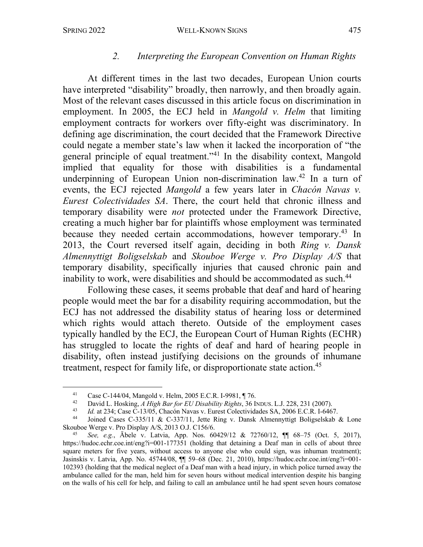#### *2. Interpreting the European Convention on Human Rights*

At different times in the last two decades, European Union courts have interpreted "disability" broadly, then narrowly, and then broadly again. Most of the relevant cases discussed in this article focus on discrimination in employment. In 2005, the ECJ held in *Mangold v. Helm* that limiting employment contracts for workers over fifty-eight was discriminatory. In defining age discrimination, the court decided that the Framework Directive could negate a member state's law when it lacked the incorporation of "the general principle of equal treatment."41 In the disability context, Mangold implied that equality for those with disabilities is a fundamental underpinning of European Union non-discrimination law.<sup>42</sup> In a turn of events, the ECJ rejected *Mangold* a few years later in *Chacón Navas v. Eurest Colectividades SA*. There, the court held that chronic illness and temporary disability were *not* protected under the Framework Directive, creating a much higher bar for plaintiffs whose employment was terminated because they needed certain accommodations, however temporary.<sup>43</sup> In 2013, the Court reversed itself again, deciding in both *Ring v. Dansk Almennyttigt Boligselskab* and *Skouboe Werge v. Pro Display A/S* that temporary disability, specifically injuries that caused chronic pain and inability to work, were disabilities and should be accommodated as such.<sup>44</sup>

Following these cases, it seems probable that deaf and hard of hearing people would meet the bar for a disability requiring accommodation, but the ECJ has not addressed the disability status of hearing loss or determined which rights would attach thereto. Outside of the employment cases typically handled by the ECJ, the European Court of Human Rights (ECHR) has struggled to locate the rights of deaf and hard of hearing people in disability, often instead justifying decisions on the grounds of inhumane treatment, respect for family life, or disproportionate state action.45

<sup>&</sup>lt;sup>41</sup> Case C-144/04, Mangold v. Helm, 2005 E.C.R. I-9981,  $\P$ 76.

<sup>42</sup> David L. Hosking, *A High Bar for EU Disability Rights*, 36 INDUS. L.J. 228, 231 (2007).

<sup>&</sup>lt;sup>43</sup> *Id.* at 234; Case C-13/05, Chacón Navas v. Eurest Colectividades SA, 2006 E.C.R. I-6467.

Joined Cases C-335/11 & C-337/11, Jette Ring v. Dansk Almennyttigt Boligselskab & Lone Skouboe Werge v. Pro Display A/S, 2013 O.J. C156/6.

<sup>45</sup> *See, e.g.*, Ābele v. Latvia, App. Nos. 60429/12 & 72760/12, ¶¶ 68–75 (Oct. 5, 2017), https://hudoc.echr.coe.int/eng?i=001-177351 (holding that detaining a Deaf man in cells of about three square meters for five years, without access to anyone else who could sign, was inhuman treatment); Jasinskis v. Latvia, App. No. 45744/08, ¶¶ 59–68 (Dec. 21, 2010), https://hudoc.echr.coe.int/eng?i=001- 102393 (holding that the medical neglect of a Deaf man with a head injury, in which police turned away the ambulance called for the man, held him for seven hours without medical intervention despite his banging on the walls of his cell for help, and failing to call an ambulance until he had spent seven hours comatose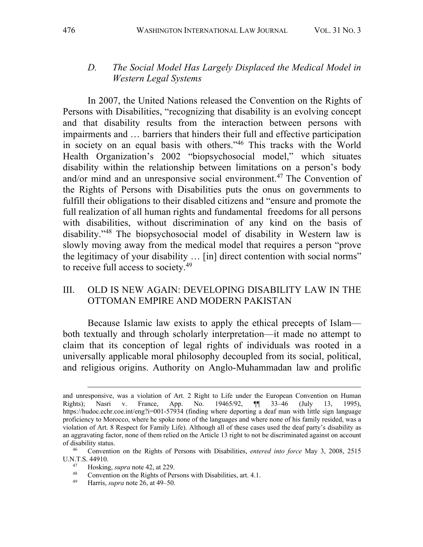#### *D. The Social Model Has Largely Displaced the Medical Model in Western Legal Systems*

In 2007, the United Nations released the Convention on the Rights of Persons with Disabilities, "recognizing that disability is an evolving concept and that disability results from the interaction between persons with impairments and … barriers that hinders their full and effective participation in society on an equal basis with others."46 This tracks with the World Health Organization's 2002 "biopsychosocial model," which situates disability within the relationship between limitations on a person's body and/or mind and an unresponsive social environment.47 The Convention of the Rights of Persons with Disabilities puts the onus on governments to fulfill their obligations to their disabled citizens and "ensure and promote the full realization of all human rights and fundamental freedoms for all persons with disabilities, without discrimination of any kind on the basis of disability."48 The biopsychosocial model of disability in Western law is slowly moving away from the medical model that requires a person "prove the legitimacy of your disability … [in] direct contention with social norms" to receive full access to society.49

#### III. OLD IS NEW AGAIN: DEVELOPING DISABILITY LAW IN THE OTTOMAN EMPIRE AND MODERN PAKISTAN

Because Islamic law exists to apply the ethical precepts of Islam both textually and through scholarly interpretation—it made no attempt to claim that its conception of legal rights of individuals was rooted in a universally applicable moral philosophy decoupled from its social, political, and religious origins. Authority on Anglo-Muhammadan law and prolific

- <sup>47</sup> Hosking, *supra* note 42, at 229.
- <sup>48</sup> Convention on the Rights of Persons with Disabilities, art. 4.1.<br><sup>49</sup> Ulamia super acts 26 at 40.50
- Harris, *supra* note 26, at 49–50.

and unresponsive, was a violation of Art. 2 Right to Life under the European Convention on Human Rights); Nasri v. France, App. No. 19465/92, ¶¶ 33–46 (July 13, 1995), https://hudoc.echr.coe.int/eng?i=001-57934 (finding where deporting a deaf man with little sign language proficiency to Morocco, where he spoke none of the languages and where none of his family resided, was a violation of Art. 8 Respect for Family Life). Although all of these cases used the deaf party's disability as an aggravating factor, none of them relied on the Article 13 right to not be discriminated against on account of disability status.

<sup>46</sup> Convention on the Rights of Persons with Disabilities, *entered into force* May 3, 2008, 2515 U.N.T.S. 44910.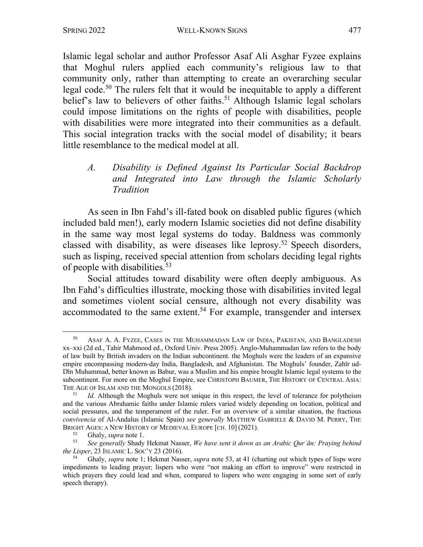Islamic legal scholar and author Professor Asaf Ali Asghar Fyzee explains that Moghul rulers applied each community's religious law to that community only, rather than attempting to create an overarching secular legal code.<sup>50</sup> The rulers felt that it would be inequitable to apply a different belief's law to believers of other faiths.<sup>51</sup> Although Islamic legal scholars could impose limitations on the rights of people with disabilities, people with disabilities were more integrated into their communities as a default. This social integration tracks with the social model of disability; it bears little resemblance to the medical model at all.

#### *A. Disability is Defined Against Its Particular Social Backdrop and Integrated into Law through the Islamic Scholarly Tradition*

As seen in Ibn Fahd's ill-fated book on disabled public figures (which included bald men!), early modern Islamic societies did not define disability in the same way most legal systems do today. Baldness was commonly classed with disability, as were diseases like leprosy.<sup>52</sup> Speech disorders, such as lisping, received special attention from scholars deciding legal rights of people with disabilities.53

Social attitudes toward disability were often deeply ambiguous. As Ibn Fahd's difficulties illustrate, mocking those with disabilities invited legal and sometimes violent social censure, although not every disability was accommodated to the same extent.<sup>54</sup> For example, transgender and intersex

<sup>50</sup> ASAF A. A. FYZEE, CASES IN THE MUHAMMADAN LAW OF INDIA, PAKISTAN, AND BANGLADESH xx–xxi (2d ed., Tahir Mahmood ed., Oxford Univ. Press 2005). Anglo-Muhammadan law refers to the body of law built by British invaders on the Indian subcontinent. the Moghuls were the leaders of an expansive empire encompassing modern-day India, Bangladesh, and Afghanistan. The Moghuls' founder, Zahīr ud-Dīn Muhammad, better known as Babur, was a Muslim and his empire brought Islamic legal systems to the subcontinent. For more on the Moghul Empire, see CHRISTOPH BAUMER, THE HISTORY OF CENTRAL ASIA: THE AGE OF ISLAM AND THE MONGOLS  $(2018)$ .<br>  $\frac{51}{10}$  Although the Mogbuls were not 1

Id. Although the Moghuls were not unique in this respect, the level of tolerance for polytheism and the various Abrahamic faiths under Islamic rulers varied widely depending on location, political and social pressures, and the temperament of the ruler. For an overview of a similar situation, the fractious *convivencia* of Al-Andalus (Islamic Spain) *see generally* MATTHEW GABRIELE & DAVID M. PERRY, THE BRIGHT AGES: A NEW HISTORY OF MEDIEVAL EUROPE [CH. 10] (2021).

<sup>&</sup>lt;sup>52</sup> Ghaly, *supra* note 1.<br>53 See generally Shady

<sup>53</sup> *See generally* Shady Hekmat Nasser, *We have sent it down as an Arabic Qurʾān: Praying behind the Lisper*, 23 ISLAMIC L. SOC'Y 23 (2016).

<sup>54</sup> Ghaly, *supra* note 1; Hekmat Nasser, *supra* note 53, at 41 (charting out which types of lisps were impediments to leading prayer; lispers who were "not making an effort to improve" were restricted in which prayers they could lead and when, compared to lispers who were engaging in some sort of early speech therapy).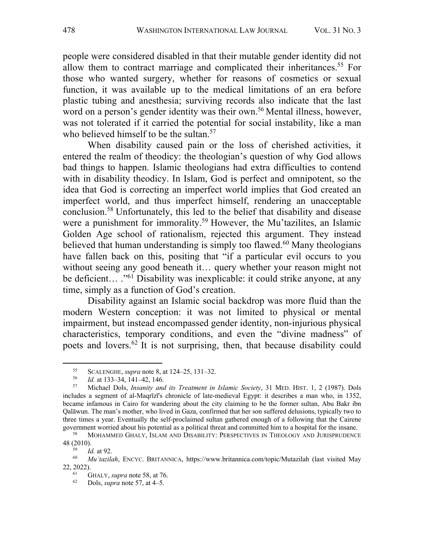people were considered disabled in that their mutable gender identity did not allow them to contract marriage and complicated their inheritances.<sup>55</sup> For those who wanted surgery, whether for reasons of cosmetics or sexual function, it was available up to the medical limitations of an era before plastic tubing and anesthesia; surviving records also indicate that the last word on a person's gender identity was their own.<sup>56</sup> Mental illness, however, was not tolerated if it carried the potential for social instability, like a man who believed himself to be the sultan.<sup>57</sup>

When disability caused pain or the loss of cherished activities, it entered the realm of theodicy: the theologian's question of why God allows bad things to happen. Islamic theologians had extra difficulties to contend with in disability theodicy. In Islam, God is perfect and omnipotent, so the idea that God is correcting an imperfect world implies that God created an imperfect world, and thus imperfect himself, rendering an unacceptable conclusion.58 Unfortunately, this led to the belief that disability and disease were a punishment for immorality.<sup>59</sup> However, the Mu'tazilites, an Islamic Golden Age school of rationalism, rejected this argument. They instead believed that human understanding is simply too flawed.<sup>60</sup> Many theologians have fallen back on this, positing that "if a particular evil occurs to you without seeing any good beneath it… query whether your reason might not be deficient... ."<sup>61</sup> Disability was inexplicable: it could strike anyone, at any time, simply as a function of God's creation.

Disability against an Islamic social backdrop was more fluid than the modern Western conception: it was not limited to physical or mental impairment, but instead encompassed gender identity, non-injurious physical characteristics, temporary conditions, and even the "divine madness" of poets and lovers.62 It is not surprising, then, that because disability could

<sup>&</sup>lt;sup>55</sup> SCALENGHE, *supra* note 8, at 124–25, 131–32.<br><sup>56</sup> *Id at* 133 34 141 42 146

<sup>56</sup> *Id.* at 133–34, 141–42, 146.

<sup>57</sup> Michael Dols, *Insanity and its Treatment in Islamic Society*, 31 MED. HIST. 1, 2 (1987). Dols includes a segment of al-Maqrīzī's chronicle of late-medieval Egypt: it describes a man who, in 1352, became infamous in Cairo for wandering about the city claiming to be the former sultan, Abu Bakr ibn Qalāwun. The man's mother, who lived in Gaza, confirmed that her son suffered delusions, typically two to three times a year. Eventually the self-proclaimed sultan gathered enough of a following that the Cairene government worried about his potential as a political threat and committed him to a hospital for the insane.<br><sup>58</sup> MOUAMED GUALY JSLAM AND DISARU ITY: PERSPECTIVES IN TUGLOCY AND JURISPULENCE

MOHAMMED GHALY, ISLAM AND DISABILITY: PERSPECTIVES IN THEOLOGY AND JURISPRUDENCE 48 (2010).

 $\frac{59}{60}$  *Id.* at 92.

<sup>60</sup> *Muʿtazilah*, ENCYC. BRITANNICA, https://www.britannica.com/topic/Mutazilah (last visited May 22, 2022).

<sup>&</sup>lt;sup>61</sup> GHALY, *supra* note 58, at 76.

<sup>62</sup> Dols, *supra* note 57, at 4–5.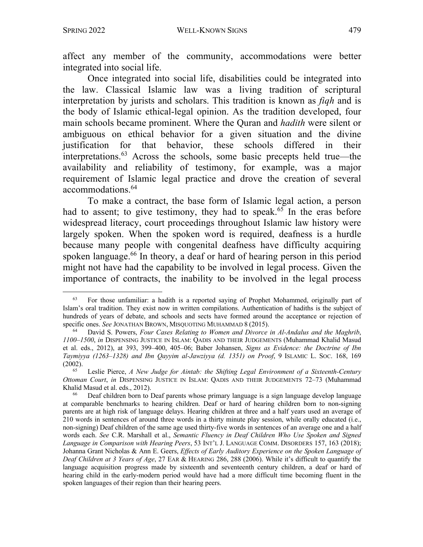affect any member of the community, accommodations were better integrated into social life.

Once integrated into social life, disabilities could be integrated into the law. Classical Islamic law was a living tradition of scriptural interpretation by jurists and scholars. This tradition is known as *fiqh* and is the body of Islamic ethical-legal opinion. As the tradition developed, four main schools became prominent. Where the Quran and *hadith* were silent or ambiguous on ethical behavior for a given situation and the divine justification for that behavior, these schools differed in their interpretations.63 Across the schools, some basic precepts held true—the availability and reliability of testimony, for example, was a major requirement of Islamic legal practice and drove the creation of several accommodations. 64

To make a contract, the base form of Islamic legal action, a person had to assent; to give testimony, they had to speak.<sup>65</sup> In the eras before widespread literacy, court proceedings throughout Islamic law history were largely spoken. When the spoken word is required, deafness is a hurdle because many people with congenital deafness have difficulty acquiring spoken language.<sup>66</sup> In theory, a deaf or hard of hearing person in this period might not have had the capability to be involved in legal process. Given the importance of contracts, the inability to be involved in the legal process

<sup>63</sup> For those unfamiliar: a hadith is a reported saying of Prophet Mohammed, originally part of Islam's oral tradition. They exist now in written compilations. Authentication of hadiths is the subject of hundreds of years of debate, and schools and sects have formed around the acceptance or rejection of specific ones. *See* JONATHAN BROWN, MISQUOTING MUHAMMAD 8 (2015).

<sup>64</sup> David S. Powers, *Four Cases Relating to Women and Divorce in Al-Andalus and the Maghrib*, *1100–1500*, *in* DISPENSING JUSTICE IN ISLAM: QADIS AND THEIR JUDGEMENTS (Muhammad Khalid Masud et al. eds., 2012), at 393, 399–400, 405–06; Baber Johansen, *Signs as Evidence: the Doctrine of Ibn Taymiyya (1263–1328) and Ibn Qayyim al-Jawziyya (d. 1351) on Proof*, 9 ISLAMIC L. SOC. 168, 169 (2002).

<sup>65</sup> Leslie Pierce, *A New Judge for Aintab: the Shifting Legal Environment of a Sixteenth-Century Ottoman Court*, *in* DISPENSING JUSTICE IN ISLAM: QADIS AND THEIR JUDGEMENTS 72–73 (Muhammad Khalid Masud et al. eds., 2012).

<sup>66</sup> Deaf children born to Deaf parents whose primary language is a sign language develop language at comparable benchmarks to hearing children. Deaf or hard of hearing children born to non-signing parents are at high risk of language delays. Hearing children at three and a half years used an average of 210 words in sentences of around three words in a thirty minute play session, while orally educated (i.e., non-signing) Deaf children of the same age used thirty-five words in sentences of an average one and a half words each. *See* C.R. Marshall et al., *Semantic Fluency in Deaf Children Who Use Spoken and Signed*  Language in Comparison with Hearing Peers, 53 INT'L J. LANGUAGE COMM. DISORDERS 157, 163 (2018); Johanna Grant Nicholas & Ann E. Geers, *Effects of Early Auditory Experience on the Spoken Language of Deaf Children at 3 Years of Age*, 27 EAR & HEARING 286, 288 (2006). While it's difficult to quantify the language acquisition progress made by sixteenth and seventeenth century children, a deaf or hard of hearing child in the early-modern period would have had a more difficult time becoming fluent in the spoken languages of their region than their hearing peers.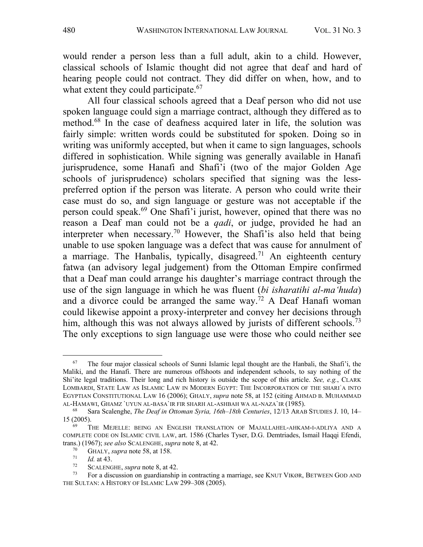would render a person less than a full adult, akin to a child. However, classical schools of Islamic thought did not agree that deaf and hard of hearing people could not contract. They did differ on when, how, and to what extent they could participate.<sup>67</sup>

All four classical schools agreed that a Deaf person who did not use spoken language could sign a marriage contract, although they differed as to method.68 In the case of deafness acquired later in life, the solution was fairly simple: written words could be substituted for spoken. Doing so in writing was uniformly accepted, but when it came to sign languages, schools differed in sophistication. While signing was generally available in Hanafi jurisprudence, some Hanafi and Shafi'i (two of the major Golden Age schools of jurisprudence) scholars specified that signing was the lesspreferred option if the person was literate. A person who could write their case must do so, and sign language or gesture was not acceptable if the person could speak.69 One Shafi'i jurist, however, opined that there was no reason a Deaf man could not be a *qadi*, or judge, provided he had an interpreter when necessary.<sup>70</sup> However, the Shafi'is also held that being unable to use spoken language was a defect that was cause for annulment of a marriage. The Hanbalis, typically, disagreed.<sup>71</sup> An eighteenth century fatwa (an advisory legal judgement) from the Ottoman Empire confirmed that a Deaf man could arrange his daughter's marriage contract through the use of the sign language in which he was fluent (*bi isharatihi al-ma'huda*) and a divorce could be arranged the same way.<sup>72</sup> A Deaf Hanafi woman could likewise appoint a proxy-interpreter and convey her decisions through him, although this was not always allowed by jurists of different schools.<sup>73</sup> The only exceptions to sign language use were those who could neither see

 $67$  The four major classical schools of Sunni Islamic legal thought are the Hanbali, the Shafi'i, the Maliki, and the Hanafi. There are numerous offshoots and independent schools, to say nothing of the Shi'ite legal traditions. Their long and rich history is outside the scope of this article. *See, e.g.*, CLARK LOMBARDI, STATE LAW AS ISLAMIC LAW IN MODERN EGYPT: THE INCORPORATION OF THE SHARIʿA INTO EGYPTIAN CONSTITUTIONAL LAW 16 (2006); GHALY, *supra* note 58, at 152 (citing AHMAD B. MUHAMMAD AL-HAMAWI, GHAMZ `UYUN AL-BASA`IR FIR SHARH AL-ASHBAH WA AL-NAZA`IR (1985).

<sup>68</sup> Sara Scalenghe, *The Deaf in Ottoman Syria, 16th–18th Centuries*, 12/13 ARAB STUDIES J. 10, 14– 15 (2005).<br><sup>69</sup> THE MEJELLE: BEING AN ENGLISH TRANSLATION OF MAJALLAHEL-AHKAM-I-ADLIYA AND A

COMPLETE CODE ON ISLAMIC CIVIL LAW, art. 1586 (Charles Tyser, D.G. Demtriades, Ismail Haqqi Efendi, trans.) (1967); *see also* SCALENGHE, *supra* note 8, at 42.

 $^{70}$  GHALY, *supra* note 58, at 158.

 $\frac{71}{72}$  *Id.* at 43.

<sup>&</sup>lt;sup>72</sup> SCALENGHE, *supra* note 8, at 42.<br><sup>73</sup> For a discussion on quardianship

<sup>73</sup> For a discussion on guardianship in contracting a marriage, see KNUT VIKØR, BETWEEN GOD AND THE SULTAN: A HISTORY OF ISLAMIC LAW 299–308 (2005).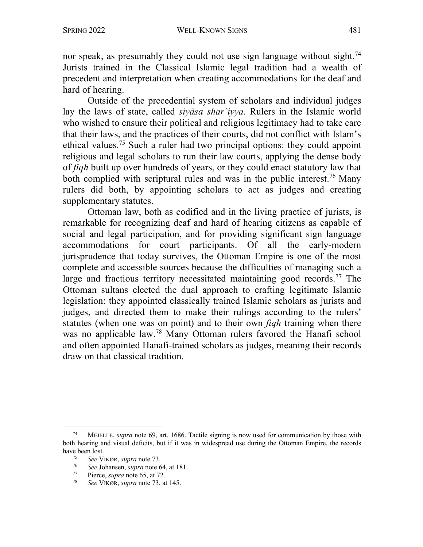nor speak, as presumably they could not use sign language without sight.<sup>74</sup> Jurists trained in the Classical Islamic legal tradition had a wealth of precedent and interpretation when creating accommodations for the deaf and hard of hearing.

Outside of the precedential system of scholars and individual judges lay the laws of state, called *siyāsa sharʿiyya*. Rulers in the Islamic world who wished to ensure their political and religious legitimacy had to take care that their laws, and the practices of their courts, did not conflict with Islam's ethical values.75 Such a ruler had two principal options: they could appoint religious and legal scholars to run their law courts, applying the dense body of *fiqh* built up over hundreds of years, or they could enact statutory law that both complied with scriptural rules and was in the public interest.<sup>76</sup> Many rulers did both, by appointing scholars to act as judges and creating supplementary statutes.

Ottoman law, both as codified and in the living practice of jurists, is remarkable for recognizing deaf and hard of hearing citizens as capable of social and legal participation, and for providing significant sign language accommodations for court participants. Of all the early-modern jurisprudence that today survives, the Ottoman Empire is one of the most complete and accessible sources because the difficulties of managing such a large and fractious territory necessitated maintaining good records.<sup>77</sup> The Ottoman sultans elected the dual approach to crafting legitimate Islamic legislation: they appointed classically trained Islamic scholars as jurists and judges, and directed them to make their rulings according to the rulers' statutes (when one was on point) and to their own *fiqh* training when there was no applicable law.78 Many Ottoman rulers favored the Hanafi school and often appointed Hanafi-trained scholars as judges, meaning their records draw on that classical tradition.

<sup>74</sup> MEJELLE, *supra* note 69, art. 1686. Tactile signing is now used for communication by those with both hearing and visual deficits, but if it was in widespread use during the Ottoman Empire, the records have been lost.

<sup>75</sup> *See* VIKØR, *supra* note 73.

<sup>76</sup> *See* Johansen, *supra* note 64, at 181.

 $77$  Pierce, *supra* note 65, at 72.<br> $78$  See VIVOP, *supra* pote 73, at

<sup>78</sup> *See* VIKØR, *supra* note 73, at 145.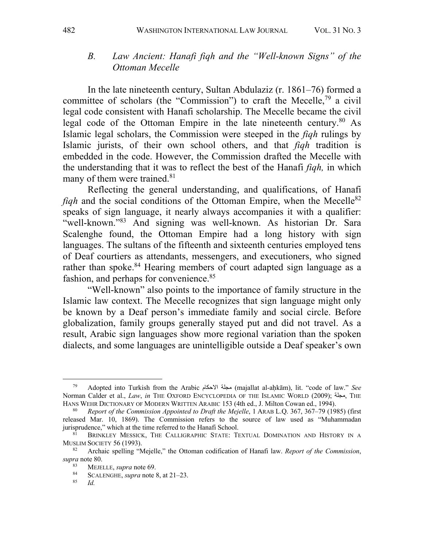#### *B. Law Ancient: Hanafi fiqh and the "Well-known Signs" of the Ottoman Mecelle*

In the late nineteenth century, Sultan Abdulaziz (r. 1861–76) formed a committee of scholars (the "Commission") to craft the Mecelle,<sup>79</sup> a civil legal code consistent with Hanafi scholarship. The Mecelle became the civil legal code of the Ottoman Empire in the late nineteenth century. $80$  As Islamic legal scholars, the Commission were steeped in the *fiqh* rulings by Islamic jurists, of their own school others, and that *fiqh* tradition is embedded in the code. However, the Commission drafted the Mecelle with the understanding that it was to reflect the best of the Hanafi *fiqh,* in which many of them were trained.<sup>81</sup>

Reflecting the general understanding, and qualifications, of Hanafi *figh* and the social conditions of the Ottoman Empire, when the Mecelle<sup>82</sup> speaks of sign language, it nearly always accompanies it with a qualifier: "well-known."83 And signing was well-known. As historian Dr. Sara Scalenghe found, the Ottoman Empire had a long history with sign languages. The sultans of the fifteenth and sixteenth centuries employed tens of Deaf courtiers as attendants, messengers, and executioners, who signed rather than spoke.<sup>84</sup> Hearing members of court adapted sign language as a fashion, and perhaps for convenience.<sup>85</sup>

"Well-known" also points to the importance of family structure in the Islamic law context. The Mecelle recognizes that sign language might only be known by a Deaf person's immediate family and social circle. Before globalization, family groups generally stayed put and did not travel. As a result, Arabic sign languages show more regional variation than the spoken dialects, and some languages are unintelligible outside a Deaf speaker's own

<sup>&</sup>lt;sup>79</sup> Adopted into Turkish from the Arabic مجلة الاحكام (majallat al-aḥkām), lit. "code of law." *See* Norman Calder et al., *Law*, *in* THE OXFORD ENCYCLOPEDIA OF THE ISLAMIC WORLD (2009); مجلة, THE HANS WEHR DICTIONARY OF MODERN WRITTEN ARABIC 153 (4th ed., J. Milton Cowan ed., 1994).

<sup>80</sup> *Report of the Commission Appointed to Draft the Mejelle*, 1 ARAB L.Q. 367, 367–79 (1985) (first released Mar. 10, 1869). The Commission refers to the source of law used as "Muhammadan jurisprudence," which at the time referred to the Hanafi School.

BRINKLEY MESSICK, THE CALLIGRAPHIC STATE: TEXTUAL DOMINATION AND HISTORY IN A MUSLIM SOCIETY 56 (1993).

<sup>82</sup> Archaic spelling "Mejelle," the Ottoman codification of Hanafi law. *Report of the Commission*, *supra* note 80.

<sup>&</sup>lt;sup>83</sup> MEJELLE, *supra* note 69.

<sup>&</sup>lt;sup>84</sup> SCALENGHE, *supra* note 8, at  $21-23$ .

<sup>85</sup> *Id.*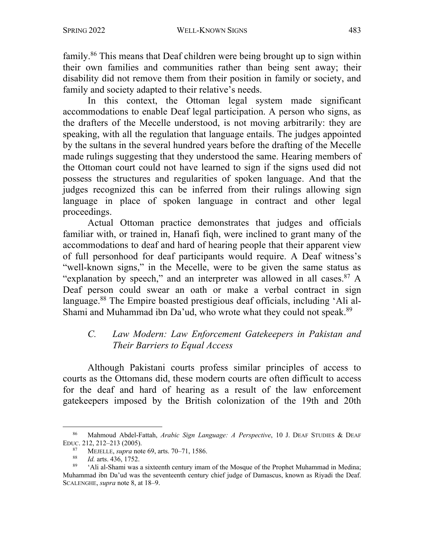family.86 This means that Deaf children were being brought up to sign within their own families and communities rather than being sent away; their disability did not remove them from their position in family or society, and family and society adapted to their relative's needs.

In this context, the Ottoman legal system made significant accommodations to enable Deaf legal participation. A person who signs, as the drafters of the Mecelle understood, is not moving arbitrarily: they are speaking, with all the regulation that language entails. The judges appointed by the sultans in the several hundred years before the drafting of the Mecelle made rulings suggesting that they understood the same. Hearing members of the Ottoman court could not have learned to sign if the signs used did not possess the structures and regularities of spoken language. And that the judges recognized this can be inferred from their rulings allowing sign language in place of spoken language in contract and other legal proceedings.

Actual Ottoman practice demonstrates that judges and officials familiar with, or trained in, Hanafi fiqh, were inclined to grant many of the accommodations to deaf and hard of hearing people that their apparent view of full personhood for deaf participants would require. A Deaf witness's "well-known signs," in the Mecelle, were to be given the same status as "explanation by speech," and an interpreter was allowed in all cases.<sup>87</sup> A Deaf person could swear an oath or make a verbal contract in sign language.<sup>88</sup> The Empire boasted prestigious deaf officials, including 'Ali al-Shami and Muhammad ibn Da'ud, who wrote what they could not speak.<sup>89</sup>

#### *C. Law Modern: Law Enforcement Gatekeepers in Pakistan and Their Barriers to Equal Access*

Although Pakistani courts profess similar principles of access to courts as the Ottomans did, these modern courts are often difficult to access for the deaf and hard of hearing as a result of the law enforcement gatekeepers imposed by the British colonization of the 19th and 20th

<sup>86</sup> Mahmoud Abdel-Fattah, *Arabic Sign Language: A Perspective*, 10 J. DEAF STUDIES & DEAF EDUC. 212, 212–213 (2005).

<sup>&</sup>lt;sup>87</sup> MEJELLE, *supra* note 69, arts. 70–71, 1586.<br><sup>88</sup> *Id.* arts. 436, 1752

<sup>&</sup>lt;sup>88</sup> *Id.* arts. 436, 1752.

<sup>89</sup> 'Ali al-Shami was a sixteenth century imam of the Mosque of the Prophet Muhammad in Medina; Muhammad ibn Da'ud was the seventeenth century chief judge of Damascus, known as Riyadi the Deaf. SCALENGHE, *supra* note 8, at 18–9.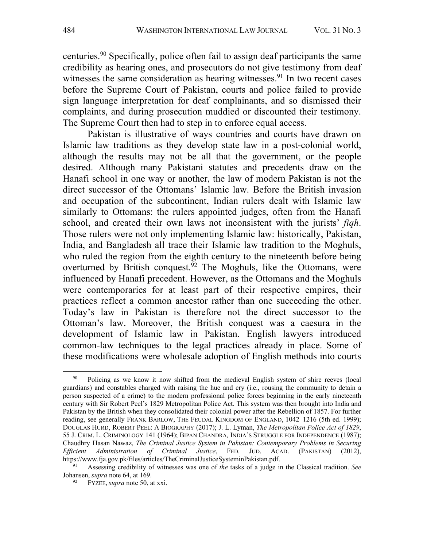centuries. <sup>90</sup> Specifically, police often fail to assign deaf participants the same credibility as hearing ones, and prosecutors do not give testimony from deaf witnesses the same consideration as hearing witnesses.<sup>91</sup> In two recent cases before the Supreme Court of Pakistan, courts and police failed to provide sign language interpretation for deaf complainants, and so dismissed their complaints, and during prosecution muddied or discounted their testimony. The Supreme Court then had to step in to enforce equal access.

Pakistan is illustrative of ways countries and courts have drawn on Islamic law traditions as they develop state law in a post-colonial world, although the results may not be all that the government, or the people desired. Although many Pakistani statutes and precedents draw on the Hanafi school in one way or another, the law of modern Pakistan is not the direct successor of the Ottomans' Islamic law. Before the British invasion and occupation of the subcontinent, Indian rulers dealt with Islamic law similarly to Ottomans: the rulers appointed judges, often from the Hanafi school, and created their own laws not inconsistent with the jurists' *fiqh*. Those rulers were not only implementing Islamic law: historically, Pakistan, India, and Bangladesh all trace their Islamic law tradition to the Moghuls, who ruled the region from the eighth century to the nineteenth before being overturned by British conquest.<sup>92</sup> The Moghuls, like the Ottomans, were influenced by Hanafi precedent. However, as the Ottomans and the Moghuls were contemporaries for at least part of their respective empires, their practices reflect a common ancestor rather than one succeeding the other. Today's law in Pakistan is therefore not the direct successor to the Ottoman's law. Moreover, the British conquest was a caesura in the development of Islamic law in Pakistan. English lawyers introduced common-law techniques to the legal practices already in place. Some of these modifications were wholesale adoption of English methods into courts

<sup>&</sup>lt;sup>90</sup> Policing as we know it now shifted from the medieval English system of shire reeves (local guardians) and constables charged with raising the hue and cry (i.e., rousing the community to detain a person suspected of a crime) to the modern professional police forces beginning in the early nineteenth century with Sir Robert Peel's 1829 Metropolitan Police Act. This system was then brought into India and Pakistan by the British when they consolidated their colonial power after the Rebellion of 1857. For further reading, see generally FRANK BARLOW, THE FEUDAL KINGDOM OF ENGLAND, 1042–1216 (5th ed. 1999); DOUGLAS HURD, ROBERT PEEL: A BIOGRAPHY (2017); J. L. Lyman, *The Metropolitan Police Act of 1829*, 55 J. CRIM. L. CRIMINOLOGY 141 (1964); BIPAN CHANDRA*,* INDIA'S STRUGGLE FOR INDEPENDENCE (1987); Chaudhry Hasan Nawaz, *The Criminal Justice System in Pakistan: Contemporary Problems in Securing Efficient Administration of Criminal Justice*, FED. JUD. ACAD. (PAKISTAN) (2012), https://www.fja.gov.pk/files/articles/TheCriminalJusticeSysteminPakistan.pdf.

<sup>91</sup> Assessing credibility of witnesses was one of *the* tasks of a judge in the Classical tradition. *See*  Johansen, *supra* note 64, at 169.

<sup>92</sup> FYZEE, *supra* note 50, at xxi.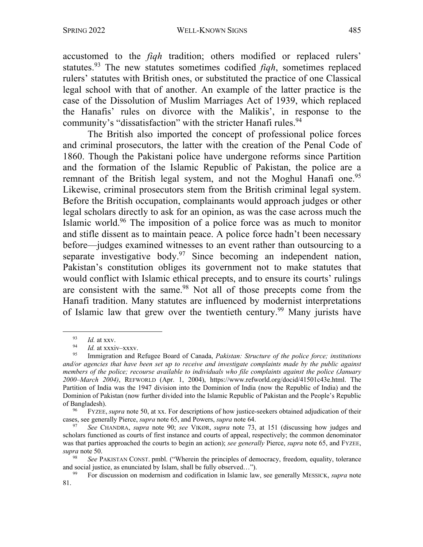accustomed to the *fiqh* tradition; others modified or replaced rulers' statutes. <sup>93</sup> The new statutes sometimes codified *fiqh*, sometimes replaced rulers' statutes with British ones, or substituted the practice of one Classical legal school with that of another. An example of the latter practice is the case of the Dissolution of Muslim Marriages Act of 1939, which replaced the Hanafis' rules on divorce with the Malikis', in response to the community's "dissatisfaction" with the stricter Hanafi rules.<sup>94</sup>

The British also imported the concept of professional police forces and criminal prosecutors, the latter with the creation of the Penal Code of 1860. Though the Pakistani police have undergone reforms since Partition and the formation of the Islamic Republic of Pakistan, the police are a remnant of the British legal system, and not the Moghul Hanafi one.<sup>95</sup> Likewise, criminal prosecutors stem from the British criminal legal system. Before the British occupation, complainants would approach judges or other legal scholars directly to ask for an opinion, as was the case across much the Islamic world.96 The imposition of a police force was as much to monitor and stifle dissent as to maintain peace. A police force hadn't been necessary before—judges examined witnesses to an event rather than outsourcing to a separate investigative body.<sup>97</sup> Since becoming an independent nation, Pakistan's constitution obliges its government not to make statutes that would conflict with Islamic ethical precepts, and to ensure its courts' rulings are consistent with the same.<sup>98</sup> Not all of those precepts come from the Hanafi tradition. Many statutes are influenced by modernist interpretations of Islamic law that grew over the twentieth century.<sup>99</sup> Many jurists have

 $\frac{93}{94}$  *Id.* at xxv.

 $\frac{94}{95}$  *Id.* at xxxiv–xxxv.

<sup>95</sup> Immigration and Refugee Board of Canada, *Pakistan: Structure of the police force; institutions and/or agencies that have been set up to receive and investigate complaints made by the public against members of the police; recourse available to individuals who file complaints against the police (January 2000–March 2004)*, REFWORLD (Apr. 1, 2004), https://www.refworld.org/docid/41501c43e.html. The Partition of India was the 1947 division into the Dominion of India (now the Republic of India) and the Dominion of Pakistan (now further divided into the Islamic Republic of Pakistan and the People's Republic of Bangladesh).

<sup>96</sup> FYZEE, *supra* note 50, at xx. For descriptions of how justice-seekers obtained adjudication of their cases, see generally Pierce, *supra* note 65, and Powers, *supra* note 64.

<sup>97</sup> *See* CHANDRA, *supra* note 90; *see* VIKØR, *supra* note 73, at 151 (discussing how judges and scholars functioned as courts of first instance and courts of appeal, respectively; the common denominator was that parties approached the courts to begin an action); *see generally* Pierce, *supra* note 65, and FYZEE, *supra* note 50. 98 *See* PAKISTAN CONST. pmbl. ("Wherein the principles of democracy, freedom, equality, tolerance

and social justice, as enunciated by Islam, shall be fully observed…").

<sup>99</sup> For discussion on modernism and codification in Islamic law, see generally MESSICK, *supra* note 81.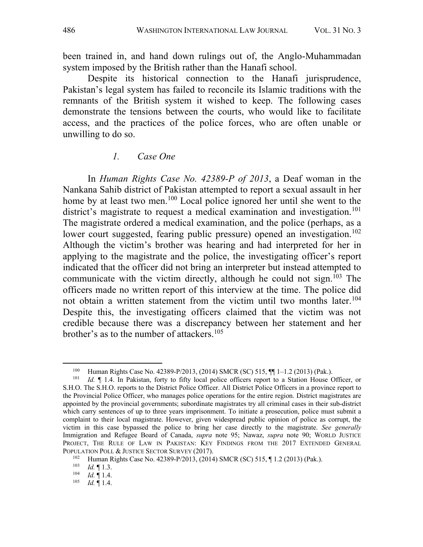been trained in, and hand down rulings out of, the Anglo-Muhammadan system imposed by the British rather than the Hanafi school.

Despite its historical connection to the Hanafi jurisprudence, Pakistan's legal system has failed to reconcile its Islamic traditions with the remnants of the British system it wished to keep. The following cases demonstrate the tensions between the courts, who would like to facilitate access, and the practices of the police forces, who are often unable or unwilling to do so.

#### *1. Case One*

In *Human Rights Case No. 42389-P of 2013*, a Deaf woman in the Nankana Sahib district of Pakistan attempted to report a sexual assault in her home by at least two men.100 Local police ignored her until she went to the district's magistrate to request a medical examination and investigation.<sup>101</sup> The magistrate ordered a medical examination, and the police (perhaps, as a lower court suggested, fearing public pressure) opened an investigation.<sup>102</sup> Although the victim's brother was hearing and had interpreted for her in applying to the magistrate and the police, the investigating officer's report indicated that the officer did not bring an interpreter but instead attempted to communicate with the victim directly, although he could not sign.<sup>103</sup> The officers made no written report of this interview at the time. The police did not obtain a written statement from the victim until two months later.<sup>104</sup> Despite this, the investigating officers claimed that the victim was not credible because there was a discrepancy between her statement and her brother's as to the number of attackers.<sup>105</sup>

<sup>&</sup>lt;sup>100</sup> Human Rights Case No. 42389-P/2013, (2014) SMCR (SC) 515,  $\P$  $1$  1–1.2 (2013) (Pak.).<br><sup>101</sup> Id  $\P$  1.4. In Pakistan, forty to fifty local police officers report to a Station House C

Id. *Il*. In Pakistan, forty to fifty local police officers report to a Station House Officer, or S.H.O. The S.H.O. reports to the District Police Officer. All District Police Officers in a province report to the Provincial Police Officer, who manages police operations for the entire region. District magistrates are appointed by the provincial governments; subordinate magistrates try all criminal cases in their sub-district which carry sentences of up to three years imprisonment. To initiate a prosecution, police must submit a complaint to their local magistrate. However, given widespread public opinion of police as corrupt, the victim in this case bypassed the police to bring her case directly to the magistrate. *See generally* Immigration and Refugee Board of Canada, *supra* note 95; Nawaz, *supra* note 90; WORLD JUSTICE PROJECT, THE RULE OF LAW IN PAKISTAN: KEY FINDINGS FROM THE 2017 EXTENDED GENERAL POPULATION POLL & JUSTICE SECTOR SURVEY (2017).

<sup>102</sup> Human Rights Case No. 42389-P/2013, (2014) SMCR (SC) 515, ¶ 1.2 (2013) (Pak.).

 $\begin{array}{cc}\n 103 \\
 104 \\
 1d\n \end{array}$   $\begin{array}{cc}\n 11.3 \\
 14\n \end{array}$ 

 $\frac{104}{105}$  *Id.* 1.4.

*Id.* 1.4.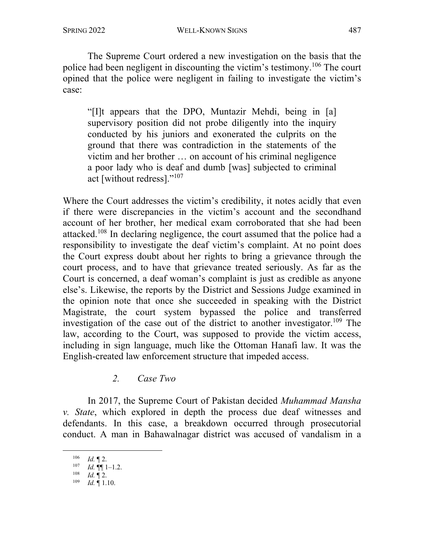The Supreme Court ordered a new investigation on the basis that the police had been negligent in discounting the victim's testimony. <sup>106</sup> The court opined that the police were negligent in failing to investigate the victim's case:

"[I]t appears that the DPO, Muntazir Mehdi, being in [a] supervisory position did not probe diligently into the inquiry conducted by his juniors and exonerated the culprits on the ground that there was contradiction in the statements of the victim and her brother … on account of his criminal negligence a poor lady who is deaf and dumb [was] subjected to criminal act [without redress]."107

Where the Court addresses the victim's credibility, it notes acidly that even if there were discrepancies in the victim's account and the secondhand account of her brother, her medical exam corroborated that she had been attacked.108 In declaring negligence, the court assumed that the police had a responsibility to investigate the deaf victim's complaint. At no point does the Court express doubt about her rights to bring a grievance through the court process, and to have that grievance treated seriously. As far as the Court is concerned, a deaf woman's complaint is just as credible as anyone else's. Likewise, the reports by the District and Sessions Judge examined in the opinion note that once she succeeded in speaking with the District Magistrate, the court system bypassed the police and transferred investigation of the case out of the district to another investigator.<sup>109</sup> The law, according to the Court, was supposed to provide the victim access, including in sign language, much like the Ottoman Hanafi law. It was the English-created law enforcement structure that impeded access.

### *2. Case Two*

In 2017, the Supreme Court of Pakistan decided *Muhammad Mansha v. State*, which explored in depth the process due deaf witnesses and defendants. In this case, a breakdown occurred through prosecutorial conduct. A man in Bahawalnagar district was accused of vandalism in a

<sup>106</sup> *Id.* ¶ 2.

 $107$  *Id.*  $\P\P$  1-1.2.

<sup>108</sup> *Id.* ¶ 2.

<sup>109</sup> *Id.* ¶ 1.10.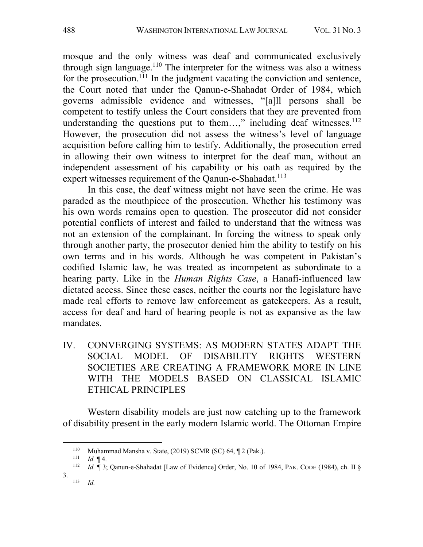mosque and the only witness was deaf and communicated exclusively through sign language.<sup>110</sup> The interpreter for the witness was also a witness for the prosecution.<sup>111</sup> In the judgment vacating the conviction and sentence, the Court noted that under the Qanun-e-Shahadat Order of 1984, which governs admissible evidence and witnesses, "[a]ll persons shall be competent to testify unless the Court considers that they are prevented from understanding the questions put to them...," including deaf witnesses. $^{112}$ However, the prosecution did not assess the witness's level of language acquisition before calling him to testify. Additionally, the prosecution erred in allowing their own witness to interpret for the deaf man, without an independent assessment of his capability or his oath as required by the expert witnesses requirement of the Qanun-e-Shahadat.<sup>113</sup>

In this case, the deaf witness might not have seen the crime. He was paraded as the mouthpiece of the prosecution. Whether his testimony was his own words remains open to question. The prosecutor did not consider potential conflicts of interest and failed to understand that the witness was not an extension of the complainant. In forcing the witness to speak only through another party, the prosecutor denied him the ability to testify on his own terms and in his words. Although he was competent in Pakistan's codified Islamic law, he was treated as incompetent as subordinate to a hearing party. Like in the *Human Rights Case*, a Hanafi-influenced law dictated access. Since these cases, neither the courts nor the legislature have made real efforts to remove law enforcement as gatekeepers. As a result, access for deaf and hard of hearing people is not as expansive as the law mandates.

IV. CONVERGING SYSTEMS: AS MODERN STATES ADAPT THE SOCIAL MODEL OF DISABILITY RIGHTS WESTERN SOCIETIES ARE CREATING A FRAMEWORK MORE IN LINE WITH THE MODELS BASED ON CLASSICAL ISLAMIC ETHICAL PRINCIPLES

Western disability models are just now catching up to the framework of disability present in the early modern Islamic world. The Ottoman Empire

<sup>110</sup> Muhammad Mansha v. State, (2019) SCMR (SC) 64,  $\mathbb{I}2$  (Pak.).<br>111  $U \oplus \mathbb{I}4$ 

*Id.*  $\P$  4.

<sup>112</sup> *Id.* ¶ 3; Qanun-e-Shahadat [Law of Evidence] Order, No. 10 of 1984, PAK. CODE (1984), ch. II §

<sup>3.</sup> <sup>113</sup> *Id.*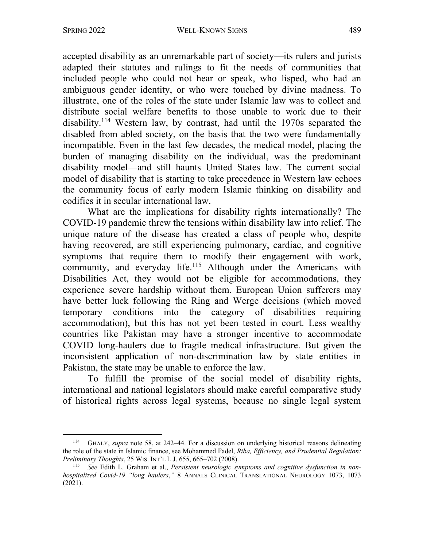accepted disability as an unremarkable part of society—its rulers and jurists adapted their statutes and rulings to fit the needs of communities that included people who could not hear or speak, who lisped, who had an ambiguous gender identity, or who were touched by divine madness. To illustrate, one of the roles of the state under Islamic law was to collect and distribute social welfare benefits to those unable to work due to their disability.114 Western law, by contrast, had until the 1970s separated the disabled from abled society, on the basis that the two were fundamentally incompatible. Even in the last few decades, the medical model, placing the burden of managing disability on the individual, was the predominant disability model—and still haunts United States law. The current social model of disability that is starting to take precedence in Western law echoes the community focus of early modern Islamic thinking on disability and codifies it in secular international law.

What are the implications for disability rights internationally? The COVID-19 pandemic threw the tensions within disability law into relief. The unique nature of the disease has created a class of people who, despite having recovered, are still experiencing pulmonary, cardiac, and cognitive symptoms that require them to modify their engagement with work, community, and everyday life.<sup>115</sup> Although under the Americans with Disabilities Act, they would not be eligible for accommodations, they experience severe hardship without them. European Union sufferers may have better luck following the Ring and Werge decisions (which moved temporary conditions into the category of disabilities requiring accommodation), but this has not yet been tested in court. Less wealthy countries like Pakistan may have a stronger incentive to accommodate COVID long-haulers due to fragile medical infrastructure. But given the inconsistent application of non-discrimination law by state entities in Pakistan, the state may be unable to enforce the law.

To fulfill the promise of the social model of disability rights, international and national legislators should make careful comparative study of historical rights across legal systems, because no single legal system

<sup>114</sup> GHALY, *supra* note 58, at 242–44. For a discussion on underlying historical reasons delineating the role of the state in Islamic finance, see Mohammed Fadel, *Riba, Efficiency, and Prudential Regulation: Preliminary Thoughts*, 25 WIS. INT'L L.J. 655, 665–702 (2008).

<sup>115</sup> *See* Edith L. Graham et al., *Persistent neurologic symptoms and cognitive dysfunction in nonhospitalized Covid-19 "long haulers*,*"* 8 ANNALS CLINICAL TRANSLATIONAL NEUROLOGY 1073, 1073 (2021).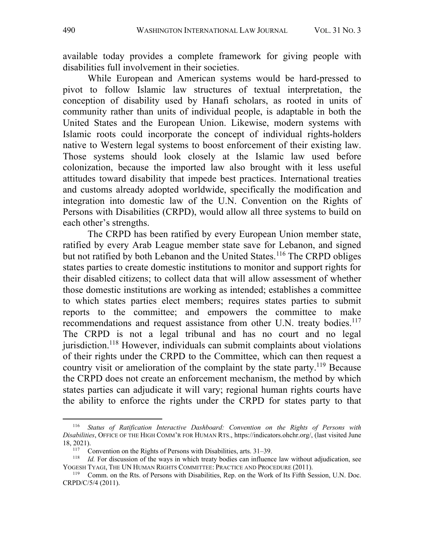available today provides a complete framework for giving people with disabilities full involvement in their societies.

While European and American systems would be hard-pressed to pivot to follow Islamic law structures of textual interpretation, the conception of disability used by Hanafi scholars, as rooted in units of community rather than units of individual people, is adaptable in both the United States and the European Union. Likewise, modern systems with Islamic roots could incorporate the concept of individual rights-holders native to Western legal systems to boost enforcement of their existing law. Those systems should look closely at the Islamic law used before colonization, because the imported law also brought with it less useful attitudes toward disability that impede best practices. International treaties and customs already adopted worldwide, specifically the modification and integration into domestic law of the U.N. Convention on the Rights of Persons with Disabilities (CRPD), would allow all three systems to build on each other's strengths.

The CRPD has been ratified by every European Union member state, ratified by every Arab League member state save for Lebanon, and signed but not ratified by both Lebanon and the United States.<sup>116</sup> The CRPD obliges states parties to create domestic institutions to monitor and support rights for their disabled citizens; to collect data that will allow assessment of whether those domestic institutions are working as intended; establishes a committee to which states parties elect members; requires states parties to submit reports to the committee; and empowers the committee to make recommendations and request assistance from other U.N. treaty bodies.<sup>117</sup> The CRPD is not a legal tribunal and has no court and no legal jurisdiction.<sup>118</sup> However, individuals can submit complaints about violations of their rights under the CRPD to the Committee, which can then request a country visit or amelioration of the complaint by the state party.<sup>119</sup> Because the CRPD does not create an enforcement mechanism, the method by which states parties can adjudicate it will vary; regional human rights courts have the ability to enforce the rights under the CRPD for states party to that

<sup>116</sup> *Status of Ratification Interactive Dashboard: Convention on the Rights of Persons with Disabilities*, OFFICE OF THE HIGH COMM'R FOR HUMAN RTS., https://indicators.ohchr.org/, (last visited June 18, 2021).

<sup>&</sup>lt;sup>117</sup> Convention on the Rights of Persons with Disabilities, arts.  $31-39$ .<br><sup>118</sup> *Id.* For discussion of the ways in which treaty bodies can influence law without adjudication, see YOGESH TYAGI, THE UN HUMAN RIGHTS COMMITTEE: PRACTICE AND PROCEDURE (2011).

<sup>119</sup> Comm. on the Rts. of Persons with Disabilities, Rep. on the Work of Its Fifth Session, U.N. Doc. CRPD/C/5/4 (2011).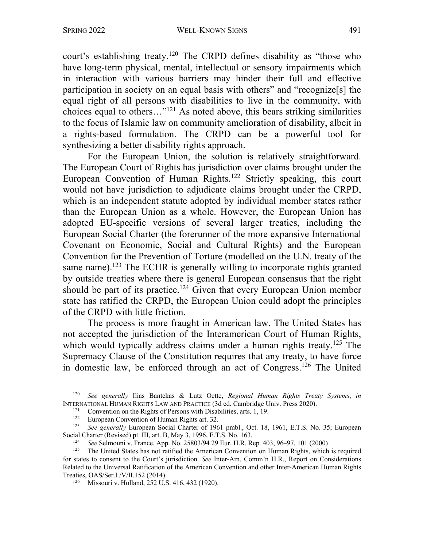court's establishing treaty.<sup>120</sup> The CRPD defines disability as "those who have long-term physical, mental, intellectual or sensory impairments which in interaction with various barriers may hinder their full and effective participation in society on an equal basis with others" and "recognize[s] the equal right of all persons with disabilities to live in the community, with choices equal to others…"121 As noted above, this bears striking similarities to the focus of Islamic law on community amelioration of disability, albeit in a rights-based formulation. The CRPD can be a powerful tool for synthesizing a better disability rights approach.

For the European Union, the solution is relatively straightforward. The European Court of Rights has jurisdiction over claims brought under the European Convention of Human Rights.122 Strictly speaking, this court would not have jurisdiction to adjudicate claims brought under the CRPD, which is an independent statute adopted by individual member states rather than the European Union as a whole. However, the European Union has adopted EU-specific versions of several larger treaties, including the European Social Charter (the forerunner of the more expansive International Covenant on Economic, Social and Cultural Rights) and the European Convention for the Prevention of Torture (modelled on the U.N. treaty of the same name).<sup>123</sup> The ECHR is generally willing to incorporate rights granted by outside treaties where there is general European consensus that the right should be part of its practice.<sup>124</sup> Given that every European Union member state has ratified the CRPD, the European Union could adopt the principles of the CRPD with little friction.

The process is more fraught in American law. The United States has not accepted the jurisdiction of the Interamerican Court of Human Rights, which would typically address claims under a human rights treaty.<sup>125</sup> The Supremacy Clause of the Constitution requires that any treaty, to have force in domestic law, be enforced through an act of Congress. <sup>126</sup> The United

<sup>120</sup> *See generally* Ilias Bantekas & Lutz Oette, *Regional Human Rights Treaty Systems*, *in* INTERNATIONAL HUMAN RIGHTS LAW AND PRACTICE (3d ed. Cambridge Univ. Press 2020).

<sup>&</sup>lt;sup>121</sup> Convention on the Rights of Persons with Disabilities, arts. 1, 19.

<sup>&</sup>lt;sup>122</sup> European Convention of Human Rights art. 32.

<sup>&</sup>lt;sup>123</sup> *See generally* European Social Charter of 1961 pmbl., Oct. 18, 1961, E.T.S. No. 35; European Social Charter (Revised) pt. III, art. B, May 3, 1996, E.T.S. No. 163.<br><sup>124</sup> See Selmouni v. Frence, Ann. No. 25802/04.20 Eva. H. B. B.

<sup>124</sup> *See* Selmouni v. France, App. No. 25803/94 29 Eur. H.R. Rep. 403, 96–97, 101 (2000)

<sup>125</sup> The United States has not ratified the American Convention on Human Rights, which is required for states to consent to the Court's jurisdiction. *See* Inter-Am. Comm'n H.R., Report on Considerations Related to the Universal Ratification of the American Convention and other Inter-American Human Rights Treaties, OAS/Ser.L/V/II.152 (2014).

<sup>126</sup> Missouri v. Holland, 252 U.S. 416, 432 (1920).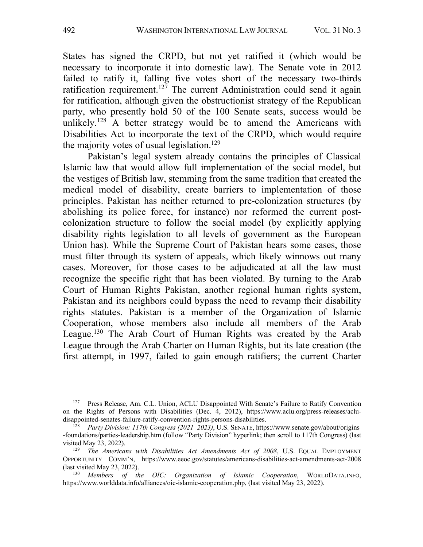States has signed the CRPD, but not yet ratified it (which would be necessary to incorporate it into domestic law). The Senate vote in 2012 failed to ratify it, falling five votes short of the necessary two-thirds ratification requirement.<sup>127</sup> The current Administration could send it again for ratification, although given the obstructionist strategy of the Republican party, who presently hold 50 of the 100 Senate seats, success would be unlikely.<sup>128</sup> A better strategy would be to amend the Americans with Disabilities Act to incorporate the text of the CRPD, which would require the majority votes of usual legislation.<sup>129</sup>

Pakistan's legal system already contains the principles of Classical Islamic law that would allow full implementation of the social model, but the vestiges of British law, stemming from the same tradition that created the medical model of disability, create barriers to implementation of those principles. Pakistan has neither returned to pre-colonization structures (by abolishing its police force, for instance) nor reformed the current postcolonization structure to follow the social model (by explicitly applying disability rights legislation to all levels of government as the European Union has). While the Supreme Court of Pakistan hears some cases, those must filter through its system of appeals, which likely winnows out many cases. Moreover, for those cases to be adjudicated at all the law must recognize the specific right that has been violated. By turning to the Arab Court of Human Rights Pakistan, another regional human rights system, Pakistan and its neighbors could bypass the need to revamp their disability rights statutes. Pakistan is a member of the Organization of Islamic Cooperation, whose members also include all members of the Arab League.130 The Arab Court of Human Rights was created by the Arab League through the Arab Charter on Human Rights, but its late creation (the first attempt, in 1997, failed to gain enough ratifiers; the current Charter

<sup>127</sup> Press Release, Am. C.L. Union, ACLU Disappointed With Senate's Failure to Ratify Convention on the Rights of Persons with Disabilities (Dec. 4, 2012), https://www.aclu.org/press-releases/acludisappointed-senates-failure-ratify-convention-rights-persons-disabilities.<br> $\frac{128}{128}$  Party Division: 117th Congress (2021–2023) U.S. SENATE https:

<sup>128</sup> *Party Division: 117th Congress (2021–2023)*, U.S. SENATE, https://www.senate.gov/about/origins -foundations/parties-leadership.htm (follow "Party Division" hyperlink; then scroll to 117th Congress) (last visited May 23, 2022).

<sup>129</sup> *The Americans with Disabilities Act Amendments Act of 2008*, U.S. EQUAL EMPLOYMENT OPPORTUNITY COMM'N, https://www.eeoc.gov/statutes/americans-disabilities-act-amendments-act-2008 (last visited May 23, 2022).

<sup>130</sup> *Members of the OIC: Organization of Islamic Cooperation*, WORLDDATA.INFO, https://www.worlddata.info/alliances/oic-islamic-cooperation.php, (last visited May 23, 2022).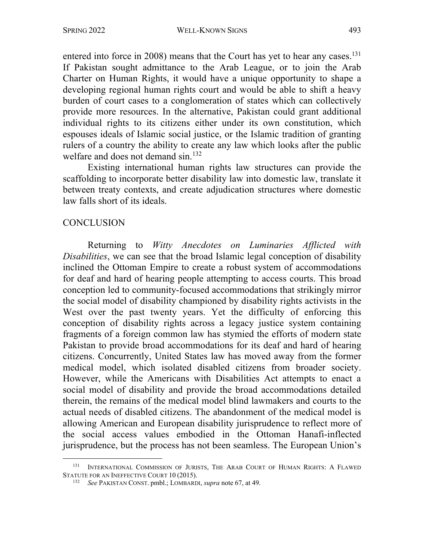entered into force in 2008) means that the Court has yet to hear any cases.<sup>131</sup> If Pakistan sought admittance to the Arab League, or to join the Arab Charter on Human Rights, it would have a unique opportunity to shape a developing regional human rights court and would be able to shift a heavy burden of court cases to a conglomeration of states which can collectively provide more resources. In the alternative, Pakistan could grant additional individual rights to its citizens either under its own constitution, which espouses ideals of Islamic social justice, or the Islamic tradition of granting rulers of a country the ability to create any law which looks after the public welfare and does not demand sin.<sup>132</sup>

Existing international human rights law structures can provide the scaffolding to incorporate better disability law into domestic law, translate it between treaty contexts, and create adjudication structures where domestic law falls short of its ideals.

#### **CONCLUSION**

Returning to *Witty Anecdotes on Luminaries Afflicted with Disabilities*, we can see that the broad Islamic legal conception of disability inclined the Ottoman Empire to create a robust system of accommodations for deaf and hard of hearing people attempting to access courts. This broad conception led to community-focused accommodations that strikingly mirror the social model of disability championed by disability rights activists in the West over the past twenty years. Yet the difficulty of enforcing this conception of disability rights across a legacy justice system containing fragments of a foreign common law has stymied the efforts of modern state Pakistan to provide broad accommodations for its deaf and hard of hearing citizens. Concurrently, United States law has moved away from the former medical model, which isolated disabled citizens from broader society. However, while the Americans with Disabilities Act attempts to enact a social model of disability and provide the broad accommodations detailed therein, the remains of the medical model blind lawmakers and courts to the actual needs of disabled citizens. The abandonment of the medical model is allowing American and European disability jurisprudence to reflect more of the social access values embodied in the Ottoman Hanafi-inflected jurisprudence, but the process has not been seamless. The European Union's

<sup>131</sup> INTERNATIONAL COMMISSION OF JURISTS, THE ARAB COURT OF HUMAN RIGHTS: A FLAWED STATUTE FOR AN INEFFECTIVE COURT 10 (2015).

<sup>132</sup> *See* PAKISTAN CONST. pmbl.; LOMBARDI, *supra* note 67, at 49.